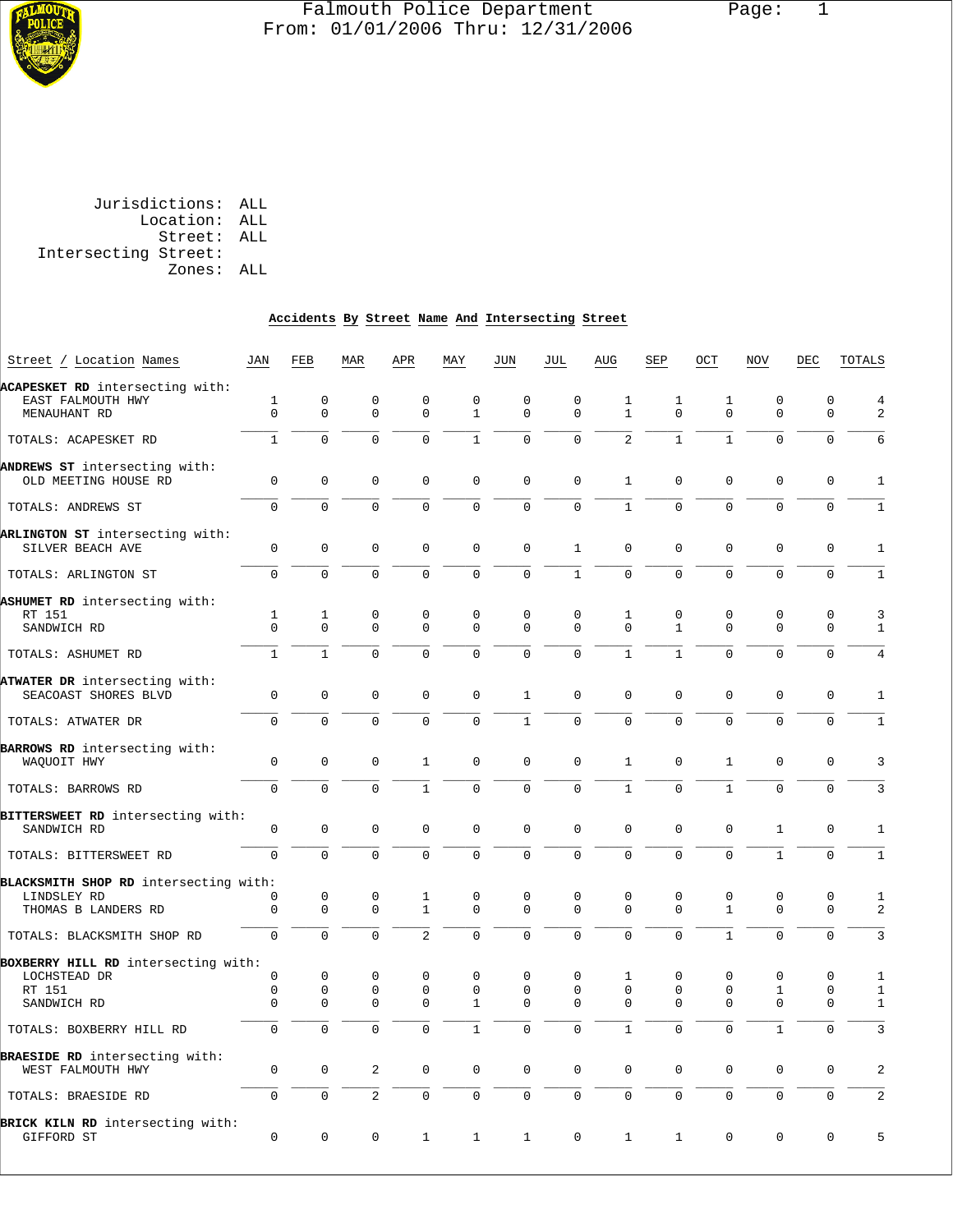

# Falmouth Police Department Page: 1 From: 01/01/2006 Thru: 12/31/2006

 Jurisdictions: ALL Location: ALL Street: ALL Intersecting Street: Zones: ALL

#### **Accidents By Street Name And Intersecting Street**

| Street / Location Names                                                      | JAN                                    | FEB                                    | MAR                                    | APR                                     | MAY                                         | JUN                                    | JUL                                 | AUG                          | SEP                                    | OCT                                    | <b>NOV</b>                              | DEC                                    | TOTALS                                       |
|------------------------------------------------------------------------------|----------------------------------------|----------------------------------------|----------------------------------------|-----------------------------------------|---------------------------------------------|----------------------------------------|-------------------------------------|------------------------------|----------------------------------------|----------------------------------------|-----------------------------------------|----------------------------------------|----------------------------------------------|
| ACAPESKET RD intersecting with:<br>EAST FALMOUTH HWY<br>MENAUHANT RD         | $\mathbf 1$<br>$\Omega$                | $\mathbf 0$<br>$\Omega$                | $\mathbf 0$<br>$\Omega$                | $\mathbf 0$<br>$\Omega$                 | $\mathbf 0$<br>$\mathbf{1}$                 | $\mathbf 0$<br>$\Omega$                | $\mathbf 0$<br>$\Omega$             | 1<br>$\mathbf{1}$            | 1<br>$\Omega$                          | $\mathbf{1}$<br>$\Omega$               | $\mathbf 0$<br>$\Omega$                 | $\mathbf 0$<br>$\Omega$                | $\overline{4}$<br>2                          |
| TOTALS: ACAPESKET RD                                                         | $\mathbf{1}$                           | $\Omega$                               | $\Omega$                               | $\Omega$                                | $\mathbf{1}$                                | $\Omega$                               | $\Omega$                            | $\overline{2}$               | $1\,$                                  | $\mathbf{1}$                           | $\Omega$                                | $\Omega$                               | 6                                            |
| ANDREWS ST intersecting with:<br>OLD MEETING HOUSE RD                        | $\mathbf 0$                            | $\mathbf 0$                            | $\mathbf 0$                            | $\mathbf 0$                             | $\mathbf{0}$                                | $\mathbf 0$                            | $\mathbf 0$                         | $\mathbf{1}$                 | $\mathbf 0$                            | $\mathbf 0$                            | $\mathbf 0$                             | $\mathbf 0$                            | $\mathbf{1}$                                 |
| TOTALS: ANDREWS ST                                                           | $\Omega$                               | $\Omega$                               | $\Omega$                               | $\Omega$                                | $\Omega$                                    | $\Omega$                               | $\Omega$                            | $\mathbf{1}$                 | $\Omega$                               | $\Omega$                               | $\Omega$                                | $\Omega$                               | $\mathbf{1}$                                 |
| ARLINGTON ST intersecting with:<br>SILVER BEACH AVE                          | 0                                      | $\mathbf 0$                            | 0                                      | $\mathbf 0$                             | $\mathbf{0}$                                | $\mathbf 0$                            | $\mathbf{1}$                        | $\mathbf{0}$                 | $\mathbf 0$                            | $\mathbf 0$                            | $\mathbf 0$                             | $\mathbf 0$                            | $\mathbf{1}$                                 |
| TOTALS: ARLINGTON ST                                                         | $\Omega$                               | $\Omega$                               | $\Omega$                               | $\Omega$                                | $\overline{0}$                              | $\mathbf 0$                            | $\mathbf{1}$                        | $\Omega$                     | $\Omega$                               | $\Omega$                               | $\Omega$                                | $\mathbf 0$                            | $\mathbf{1}$                                 |
| ASHUMET RD intersecting with:<br>RT 151<br>SANDWICH RD                       | 1<br>$\Omega$                          | $\mathbf{1}$<br>$\Omega$               | $\mathbf 0$<br>$\Omega$                | $\mathbf{0}$<br>$\Omega$                | $\mathbf 0$<br>$\Omega$                     | $\Omega$<br>$\Omega$                   | $\mathbf 0$<br>$\Omega$             | $\mathbf{1}$<br>$\Omega$     | $\mathbf 0$<br>$\mathbf{1}$            | $\mathbf 0$<br>$\Omega$                | $\mathbf 0$<br>$\Omega$                 | $\mathbf 0$<br>$\Omega$                | 3<br>$\mathbf{1}$                            |
| TOTALS: ASHUMET RD                                                           | $\mathbf{1}$                           | $\mathbf{1}$                           | $\mathbf 0$                            | $\mathbf 0$                             | 0                                           | $\mathbf 0$                            | $\mathbf 0$                         | $\mathbf{1}$                 | $\mathbf{1}$                           | $\mathbf 0$                            | $\mathbf 0$                             | $\mathbf 0$                            | $\overline{4}$                               |
| ATWATER DR intersecting with:<br>SEACOAST SHORES BLVD                        | $\mathbf 0$                            | $\mathbf 0$                            | $\mathbf 0$                            | $\mathbf 0$                             | $\mathbf 0$                                 | $\mathbf{1}$                           | $\mathbf 0$                         | $\Omega$                     | $\mathbf 0$                            | $\mathbf 0$                            | $\mathbf{0}$                            | $\mathbf 0$                            | $\mathbf{1}$                                 |
| TOTALS: ATWATER DR                                                           | $\Omega$                               | $\Omega$                               | $\Omega$                               | $\Omega$                                | $\Omega$                                    | $\mathbf{1}$                           | $\Omega$                            | $\Omega$                     | $\Omega$                               | $\Omega$                               | $\Omega$                                | $\Omega$                               | $\mathbf{1}$                                 |
| BARROWS RD intersecting with:<br>WAQUOIT HWY                                 | $\mathbf 0$                            | $\mathbf 0$                            | $\mathbf 0$                            | $\mathbf{1}$                            | $\mathsf 0$                                 | $\mathbf 0$                            | $\mathbf 0$                         | $\mathbf{1}$                 | $\mathbf 0$                            | $\mathbf{1}$                           | $\mathbf 0$                             | $\mathbf 0$                            | 3                                            |
| TOTALS: BARROWS RD                                                           | $\Omega$                               | $\Omega$                               | $\Omega$                               | $\mathbf{1}$                            | $\Omega$                                    | $\Omega$                               | $\Omega$                            | $\mathbf{1}$                 | $\Omega$                               | $\mathbf{1}$                           | $\Omega$                                | $\mathbf 0$                            | 3                                            |
| BITTERSWEET RD intersecting with:<br>SANDWICH RD                             | 0                                      | $\mathbf 0$                            | $\mathbf 0$                            | $\mathbf 0$                             | $\mathbf{0}$                                | $\mathbf 0$                            | $\mathbf 0$                         | $\mathbf{0}$                 | $\mathbf 0$                            | $\mathbf 0$                            | $\mathbf{1}$                            | $\mathbf 0$                            | $\mathbf{1}$                                 |
| TOTALS: BITTERSWEET RD                                                       | $\Omega$                               | $\Omega$                               | $\overline{0}$                         | 0                                       | $\mathbf 0$                                 | $\mathbf 0$                            | $\overline{0}$                      | $\Omega$                     | $\Omega$                               | $\Omega$                               | $\mathbf{1}$                            | $\mathbf 0$                            | $\mathbf{1}$                                 |
| BLACKSMITH SHOP RD intersecting with:<br>LINDSLEY RD<br>THOMAS B LANDERS RD  | 0<br>$\overline{0}$                    | $\mathbf 0$<br>$\mathbf 0$             | $\mathbf 0$<br>$\Omega$                | 1<br>$\mathbf{1}$                       | $\mathbf 0$<br>$\Omega$                     | $\Omega$<br>$\Omega$                   | $\mathbf 0$<br>$\Omega$             | $\Omega$<br>$\Omega$         | $\mathbf 0$<br>$\Omega$                | $\Omega$<br>$\mathbf{1}$               | $\mathbf 0$<br>$\Omega$                 | $\mathbf 0$<br>$\Omega$                | $\mathbf{1}$<br>2                            |
| TOTALS: BLACKSMITH SHOP RD                                                   | $\overline{0}$                         | $\mathbf 0$                            | $\mathbf 0$                            | $\overline{2}$                          | $\overline{0}$                              | $\mathbf 0$                            | $\overline{0}$                      | 0                            | $\Omega$                               | $\mathbf{1}$                           | $\mathbf{0}$                            | $\mathbf 0$                            | $\mathbf{3}$                                 |
| BOXBERRY HILL RD intersecting with:<br>LOCHSTEAD DR<br>RT 151<br>SANDWICH RD | $\mathbf 0$<br>$\mathsf 0$<br>$\Omega$ | $\mathbf 0$<br>$\mathbf 0$<br>$\Omega$ | $\mathbf 0$<br>$\mathbf 0$<br>$\Omega$ | $\mathbf{0}$<br>$\mathbf 0$<br>$\Omega$ | $\mathbf{0}$<br>$\mathbf 0$<br>$\mathbf{1}$ | $\mathbf 0$<br>$\mathbf 0$<br>$\Omega$ | $\Omega$<br>$\mathbf 0$<br>$\Omega$ | 1<br>$\mathbf 0$<br>$\Omega$ | $\mathbf 0$<br>$\mathbf 0$<br>$\Omega$ | $\mathbf 0$<br>$\mathbf 0$<br>$\Omega$ | $\mathbf 0$<br>$\mathbf{1}$<br>$\Omega$ | $\mathbf 0$<br>$\mathbf 0$<br>$\Omega$ | $\mathbf{1}$<br>$\mathbf{1}$<br>$\mathbf{1}$ |
| TOTALS: BOXBERRY HILL RD                                                     | $\Omega$                               | $\Omega$                               | $\Omega$                               | $\Omega$                                | $\mathbf{1}$                                | $\Omega$                               | $\Omega$                            | $\mathbf{1}$                 | $\Omega$                               | $\Omega$                               | $\mathbf{1}$                            | $\Omega$                               | $\overline{3}$                               |
| <b>BRAESIDE RD</b> intersecting with:<br>WEST FALMOUTH HWY                   | $\mathbf 0$                            | $\mathbf 0$                            | 2                                      | $\mathbf 0$                             | $\mathbf 0$                                 | $\mathbf 0$                            | $\mathbf 0$                         | $\mathbf{0}$                 | $\mathbf{0}$                           | $\mathbf{0}$                           | $\mathbf 0$                             | $\mathbf 0$                            | 2                                            |
| TOTALS: BRAESIDE RD                                                          | $\mathbf 0$                            | $\mathbf 0$                            | $\overline{2}$                         | $\Omega$                                | $\overline{0}$                              | $\mathbf 0$                            | $\mathbf 0$                         | $\Omega$                     | $\mathbf 0$                            | $\mathbf 0$                            | $\Omega$                                | $\mathbf 0$                            | 2                                            |
| BRICK KILN RD intersecting with:<br>GIFFORD ST                               | 0                                      | $\mathbf 0$                            | $\mathbf 0$                            | 1                                       | $\mathbf{1}$                                | $\mathbf 1$                            | $\mathbf 0$                         | 1                            | 1                                      | $\mathbf 0$                            | $\mathbf 0$                             | $\mathbf 0$                            | 5                                            |
|                                                                              |                                        |                                        |                                        |                                         |                                             |                                        |                                     |                              |                                        |                                        |                                         |                                        |                                              |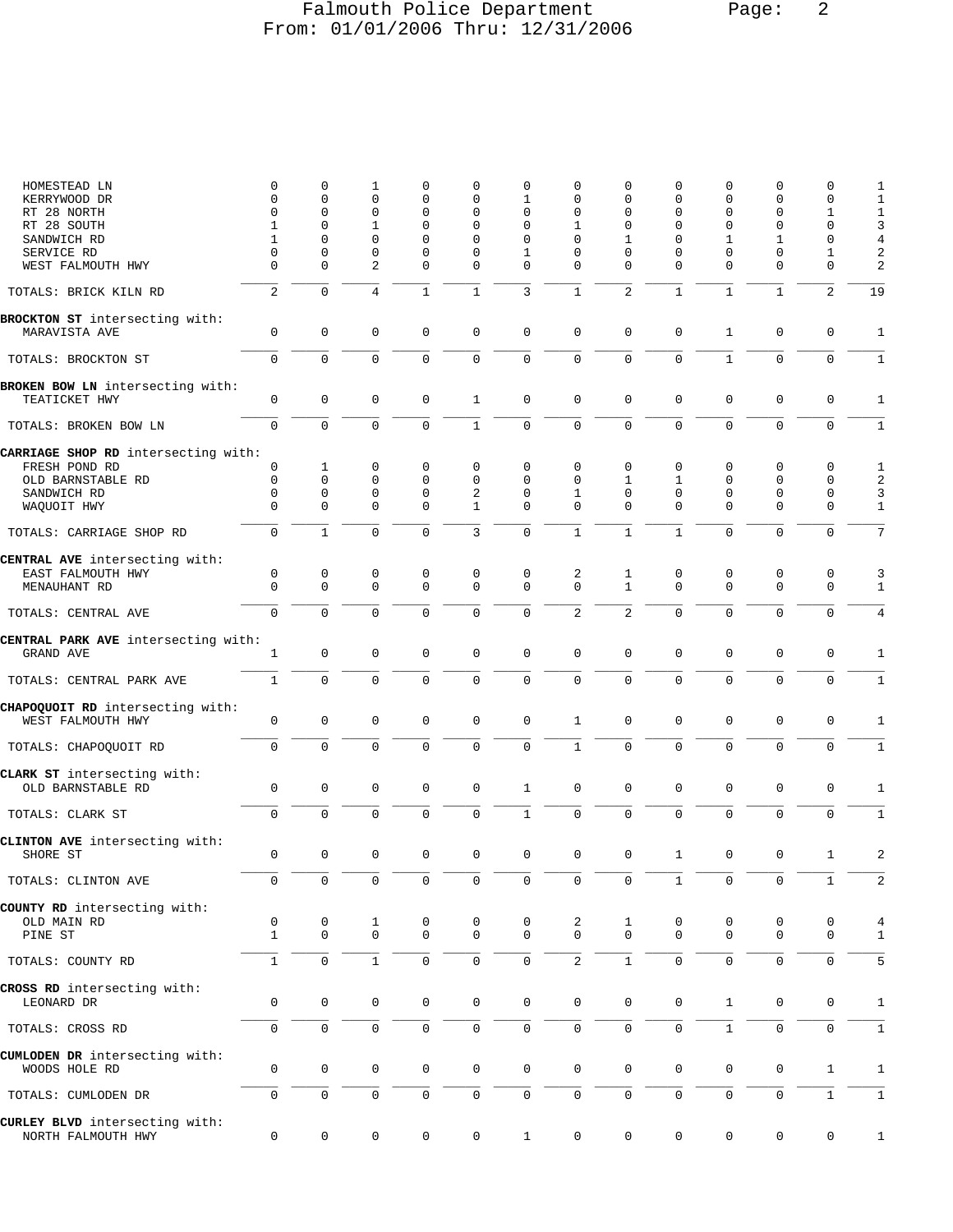## Falmouth Police Department Page: 2 From: 01/01/2006 Thru: 12/31/2006

| HOMESTEAD LN                                          | 0                       | 0                    | 1              | $\Omega$                | 0                       | 0                       | 0                    | $\Omega$             | O                    | 0             | $\Omega$             | 0                        | 1              |
|-------------------------------------------------------|-------------------------|----------------------|----------------|-------------------------|-------------------------|-------------------------|----------------------|----------------------|----------------------|---------------|----------------------|--------------------------|----------------|
| KERRYWOOD DR                                          | $\mathbf 0$             | $\mathbf 0$          | $\Omega$       | $\Omega$                | 0                       | 1                       | 0                    | $\Omega$             | $\Omega$             | 0             | $\Omega$             | $\Omega$                 | $1\,$          |
| RT 28 NORTH                                           | $\Omega$                | $\Omega$             | $\Omega$       | $\Omega$                | 0                       | $\Omega$                | $\Omega$             | $\Omega$             | $\Omega$             | $\Omega$      | $\Omega$             | 1                        | $\mathbf 1$    |
| RT 28 SOUTH                                           | 1                       | $\mathbf 0$          | $\mathbf{1}$   | $\Omega$                | 0                       | 0                       | 1                    | 0                    | $\mathbf 0$          | 0             | $\mathbf 0$          | $\mathbf 0$              | $\mathbf{3}$   |
| SANDWICH RD                                           | 1                       | $\Omega$             | 0              | $\Omega$                | 0                       | 0                       | 0                    | 1                    | $\Omega$             | 1             | $\mathbf{1}$         | 0                        | $\overline{4}$ |
| SERVICE RD                                            | $\mathbf 0$<br>$\Omega$ | $\Omega$<br>$\Omega$ | $\Omega$       | $\Omega$<br>$\Omega$    | 0<br>$\Omega$           | $\mathbf 1$<br>$\Omega$ | $\Omega$<br>$\Omega$ | $\Omega$<br>$\Omega$ | $\Omega$<br>$\Omega$ | $\Omega$      | $\Omega$<br>$\Omega$ | $\mathbf{1}$<br>$\Omega$ | 2              |
| WEST FALMOUTH HWY                                     |                         |                      | $\overline{2}$ |                         |                         |                         |                      |                      |                      | $\Omega$      |                      |                          | $\overline{2}$ |
| TOTALS: BRICK KILN RD                                 | 2                       | $\Omega$             | 4              | $\mathbf{1}$            | $\mathbf{1}$            | 3                       | $\mathbf{1}$         | $\overline{2}$       | $\mathbf{1}$         | $\mathbf{1}$  | $\mathbf{1}$         | $\overline{a}$           | 19             |
| BROCKTON ST intersecting with:<br>MARAVISTA AVE       | 0                       | $\mathbf 0$          | $\mathbf 0$    | $\Omega$                | $\mathbf 0$             | 0                       | $\mathbf 0$          | $\Omega$             | 0                    | $\mathbf{1}$  | $\mathbf 0$          | $\mathbf 0$              | 1              |
| TOTALS: BROCKTON ST                                   | $\mathbf 0$             | $\mathbf 0$          | $\mathbf 0$    | $\Omega$                | 0                       | $\mathbf 0$             | $\mathbf 0$          | $\mathbf 0$          | $\mathbf 0$          | $\mathbf{1}$  | $\mathbf 0$          | $\mathbf 0$              | $\mathbf{1}$   |
| BROKEN BOW LN intersecting with:<br>TEATICKET HWY     | $\mathbf 0$             | $\mathbf 0$          | $\mathbf 0$    | $\mathbf 0$             | $\mathbf{1}$            | $\mathbf 0$             | $\mathbf 0$          | $\mathbf{0}$         | $\mathbf 0$          | $\mathbf 0$   | $\mathbf{0}$         | $\mathbf 0$              | $\mathbf{1}$   |
| TOTALS: BROKEN BOW LN                                 | 0                       | $\Omega$             | $\Omega$       | $\Omega$                | $\mathbf{1}$            | $\mathbf 0$             | $\mathbf 0$          | $\Omega$             | $\Omega$             | $\Omega$      | $\Omega$             | $\Omega$                 | 1              |
|                                                       |                         |                      |                |                         |                         |                         |                      |                      |                      |               |                      |                          |                |
| CARRIAGE SHOP RD intersecting with:                   | 0                       |                      | 0              | $\mathbf 0$             | 0                       | 0                       | $\Omega$             | $\Omega$             | 0                    | 0             | $\mathbf 0$          | $\mathbf 0$              |                |
| FRESH POND RD<br>OLD BARNSTABLE RD                    | $\mathbf 0$             | 1<br>$\mathbf 0$     | $\mathbf 0$    | $\mathbf 0$             | 0                       | $\Omega$                | $\mathbf 0$          | 1                    | 1                    | 0             | $\mathbf 0$          | $\mathbf 0$              | 1<br>2         |
| SANDWICH RD                                           | $\Omega$                | $\mathbf 0$          | $\mathbf 0$    | $\mathbf{0}$            | 2                       | 0                       | $\mathbf{1}$         | $\Omega$             | $\Omega$             | 0             | $\mathbf 0$          | $\mathbf 0$              | 3              |
| WAQUOIT HWY                                           | $\Omega$                | $\Omega$             | 0              | $\Omega$                | $\mathbf{1}$            | 0                       | $\Omega$             | $\Omega$             | $\Omega$             | $\Omega$      | $\mathbf 0$          | $\mathbf 0$              | $1\,$          |
|                                                       |                         |                      |                |                         |                         |                         |                      |                      |                      |               |                      |                          |                |
| TOTALS: CARRIAGE SHOP RD                              | $\Omega$                | $\mathbf{1}$         | $\mathbf 0$    | $\Omega$                | 3                       | $\Omega$                | $\mathbf{1}$         | $\mathbf{1}$         | $\mathbf{1}$         | $\Omega$      | $\Omega$             | $\Omega$                 | 7              |
| CENTRAL AVE intersecting with:                        |                         |                      |                |                         |                         |                         |                      |                      |                      |               |                      |                          |                |
| EAST FALMOUTH HWY<br>MENAUHANT RD                     | 0<br>$\Omega$           | 0<br>$\mathbf 0$     | 0<br>$\Omega$  | $\mathbf 0$<br>$\Omega$ | $\mathsf 0$<br>$\Omega$ | $\mathbf 0$<br>$\Omega$ | 2<br>$\Omega$        | 1<br>$\mathbf{1}$    | 0<br>$\Omega$        | 0<br>$\Omega$ | 0<br>$\Omega$        | 0<br>$\mathbf 0$         | 3<br>1         |
| TOTALS: CENTRAL AVE                                   | $\Omega$                | $\Omega$             | $\Omega$       | $\Omega$                | $\Omega$                | $\mathbf 0$             | $\overline{2}$       | $\overline{a}$       | $\Omega$             | $\Omega$      | $\Omega$             | $\mathbf 0$              | 4              |
|                                                       |                         |                      |                |                         |                         |                         |                      |                      |                      |               |                      |                          |                |
| CENTRAL PARK AVE intersecting with:<br>GRAND AVE      | 1                       | $\mathbf 0$          | 0              | $\mathbf{0}$            | $\mathbf 0$             | $\mathbf 0$             | $\mathsf 0$          | $\mathbf 0$          | $\mathbf 0$          | 0             | $\mathbf 0$          | $\mathbf 0$              | 1              |
| TOTALS: CENTRAL PARK AVE                              | $\mathbf{1}$            | $\mathbf 0$          | $\mathbf 0$    | $\Omega$                | $\Omega$                | $\overline{0}$          | $\mathbf 0$          | 0                    | $\mathbf 0$          | 0             | $\mathbf 0$          | $\Omega$                 | $\mathbf{1}$   |
| CHAPOQUOIT RD intersecting with:<br>WEST FALMOUTH HWY | $\mathbf 0$             | $\mathbf 0$          | $\mathbf 0$    | $\mathbf 0$             | $\mathbf 0$             | $\mathbf 0$             | $\mathbf{1}$         | $\mathbf 0$          | $\mathbf 0$          | $\mathbf{0}$  | $\mathbf 0$          | $\mathbf 0$              | 1              |
| TOTALS: CHAPOQUOIT RD                                 | $\mathbf 0$             | $\mathbf 0$          | $\mathbf 0$    | 0                       | 0                       | $\mathbf 0$             | $1\,$                | 0                    | $\mathbf 0$          | 0             | $\mathbf 0$          | $\Omega$                 | $1\,$          |
| CLARK ST intersecting with:                           |                         |                      |                |                         |                         |                         |                      |                      |                      |               |                      |                          |                |
| OLD BARNSTABLE RD                                     | $\mathbf 0$             | $\mathbf 0$          | $\mathbf 0$    | $\mathbf 0$             | 0                       | $\mathbf{1}$            | $\mathsf 0$          | $\mathbf 0$          | $\mathbf 0$          | $\mathbf{0}$  | $\mathbf{0}$         | $\mathbf 0$              | 1              |
| TOTALS: CLARK ST                                      | $\mathbf 0$             | $\Omega$             | $\mathbf 0$    | $\Omega$                | $\Omega$                | $\mathbf{1}$            | $\mathbf 0$          | $\Omega$             | $\Omega$             | $\Omega$      | $\mathbf{0}$         | $\mathbf 0$              | $\mathbf{1}$   |
| CLINTON AVE intersecting with:                        |                         |                      |                |                         |                         |                         |                      |                      |                      |               |                      |                          |                |
| SHORE ST                                              | 0                       | $\mathbf 0$          | $\mathbf 0$    | $\mathbf{0}$            | $\mathbf 0$             | $\mathbf 0$             | $\mathbf 0$          | $\mathbf 0$          | 1                    | $\mathbf 0$   | $\mathbf 0$          | 1                        | 2              |
| TOTALS: CLINTON AVE                                   | 0                       | $\mathbf{0}$         | 0              | $\mathbf 0$             | $\mathsf 0$             | 0                       | $\mathbf 0$          | 0                    | $\mathbf 1$          | $\mathbf{0}$  | $\mathbf 0$          | 1                        | 2              |
| COUNTY RD intersecting with:                          |                         |                      |                |                         |                         |                         |                      |                      |                      |               |                      |                          |                |
| OLD MAIN RD                                           | 0                       | 0                    | 1              | 0                       | 0                       | 0                       | 2                    | 1                    | 0                    | 0             | 0                    | $\mathbf 0$              | 4              |
| PINE ST                                               | $\mathbf{1}$            | $\mathbf 0$          | $\mathbf 0$    | $\mathbf 0$             | $\mathsf 0$             | 0                       | $\mathbf 0$          | $\mathbf 0$          | $\mathbf 0$          | 0             | $\mathbf 0$          | 0                        | 1              |
| TOTALS: COUNTY RD                                     | $\mathbf{1}$            | $\mathbf 0$          | $\mathbf{1}$   | $\mathbf 0$             | 0                       | 0                       | $\overline{2}$       | $\mathbf{1}$         | 0                    | 0             | $\mathsf 0$          | $\mathbf 0$              | 5              |
|                                                       |                         |                      |                |                         |                         |                         |                      |                      |                      |               |                      |                          |                |
| CROSS RD intersecting with:<br>LEONARD DR             | 0                       | $\mathbf 0$          | 0              | $\mathbf 0$             | $\mathbf 0$             | 0                       | $\mathbf 0$          | $\mathsf 0$          | 0                    | $\mathbf{1}$  | 0                    | 0                        | 1              |
| TOTALS: CROSS RD                                      | 0                       | $\mathsf{O}\xspace$  | $\mathsf 0$    | $\mathsf{O}\xspace$     | $\mathsf 0$             | 0                       | $\mathsf 0$          | 0                    | $\mathsf 0$          | $\mathbf{1}$  | $\mathsf 0$          | $\mathbf 0$              | $\mathbf{1}$   |
| CUMLODEN DR intersecting with:<br>WOODS HOLE RD       | 0                       | 0                    | 0              | 0                       | 0                       | 0                       | $\mathsf 0$          | $\mathbf 0$          | 0                    | 0             | 0                    | 1                        | 1              |
| TOTALS: CUMLODEN DR                                   | 0                       | $\mathsf{O}\xspace$  | 0              | 0                       | 0                       | 0                       | $\mathsf 0$          | 0                    | 0                    | 0             | $\mathbf 0$          | $\mathbf{1}$             | $\mathbf 1$    |
| CURLEY BLVD intersecting with:                        |                         |                      |                |                         |                         |                         |                      |                      |                      |               |                      |                          |                |
| NORTH FALMOUTH HWY                                    | 0                       | $\mathsf{O}\xspace$  | 0              | 0                       | 0                       | $\mathbf{1}$            | $\mathsf 0$          | 0                    | 0                    | 0             | $\mathsf 0$          | 0                        | 1              |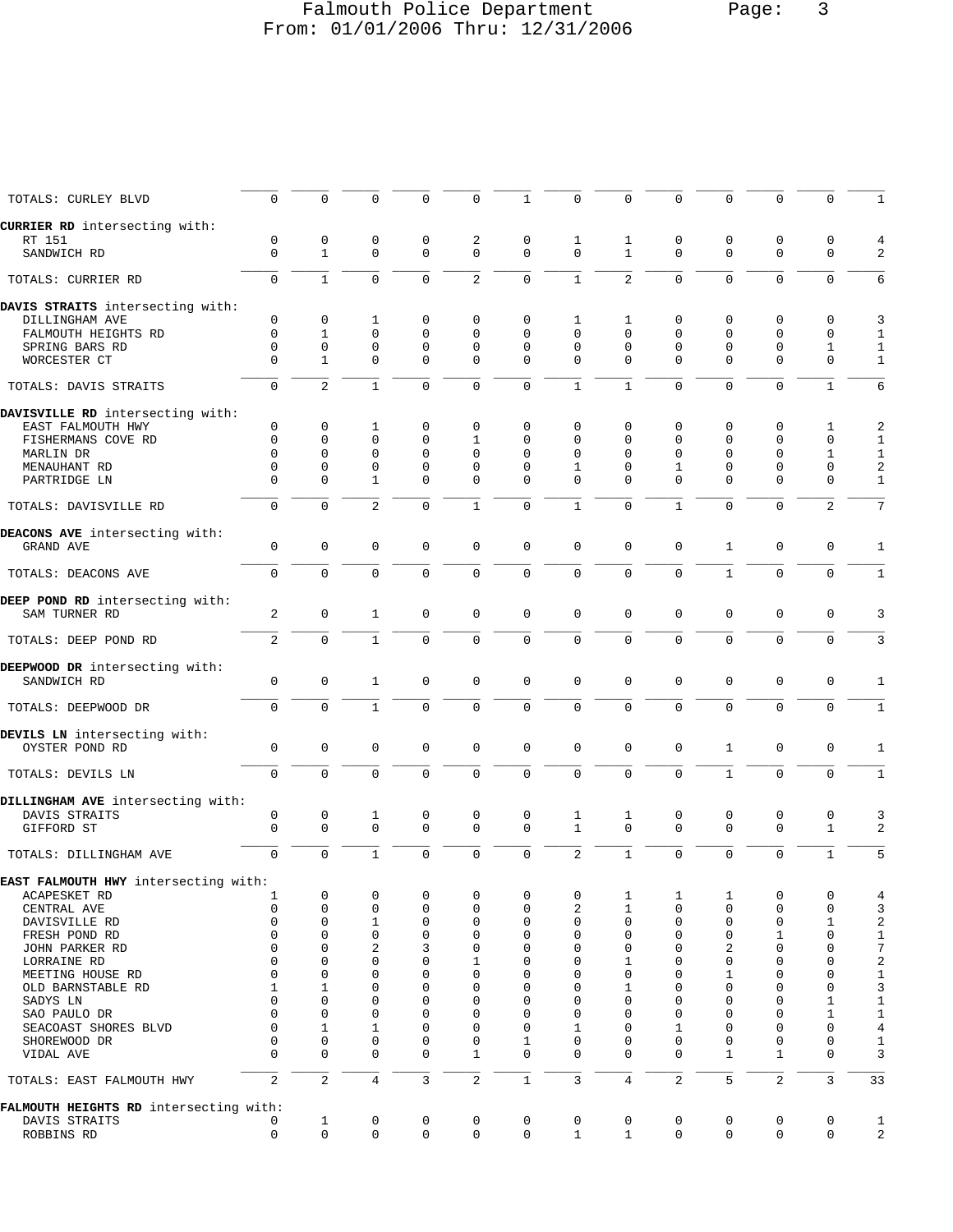# Falmouth Police Department Page: 3 From: 01/01/2006 Thru: 12/31/2006

| TOTALS: CURLEY BLVD                    | $\mathbf 0$      | $\Omega$          | $\Omega$       | 0             | $\Omega$       | 1             |                | 0                 | $\Omega$       | $\Omega$      | $\Omega$         | $\Omega$                |                         |
|----------------------------------------|------------------|-------------------|----------------|---------------|----------------|---------------|----------------|-------------------|----------------|---------------|------------------|-------------------------|-------------------------|
| CURRIER RD intersecting with:          |                  |                   |                |               |                |               |                |                   |                |               |                  |                         |                         |
| RT 151<br>SANDWICH RD                  | 0<br>$\mathbf 0$ | 0<br>$\mathbf{1}$ | 0<br>$\Omega$  | 0<br>$\Omega$ | 2<br>$\Omega$  | 0<br>$\Omega$ | 1<br>$\Omega$  | 1<br>$\mathbf{1}$ | 0<br>$\Omega$  | 0<br>$\Omega$ | 0<br>$\mathbf 0$ | $\mathbf 0$<br>$\Omega$ |                         |
| TOTALS: CURRIER RD                     | $\mathbf 0$      | $\mathbf{1}$      | $\Omega$       | $\Omega$      | $\overline{c}$ | $\mathbf 0$   | $\mathbf{1}$   | $\overline{a}$    | $\Omega$       | $\Omega$      | $\Omega$         | $\Omega$                | 6                       |
| DAVIS STRAITS intersecting with:       |                  |                   |                |               |                |               |                |                   |                |               |                  |                         |                         |
| DILLINGHAM AVE                         | $\mathbf 0$      | $\mathbf 0$       | 1              | 0             | $\Omega$       | 0             | 1              | $\mathbf 1$       | $\mathbf 0$    | $\mathbf 0$   | 0                | $\mathbf 0$             | 3                       |
| FALMOUTH HEIGHTS RD                    | $\Omega$         | $\mathbf{1}$      | $\Omega$       | $\Omega$      | $\Omega$       | $\Omega$      | $\Omega$       | $\Omega$          | $\Omega$       | $\Omega$      | $\Omega$         | $\Omega$                | 1                       |
| SPRING BARS RD                         | $\Omega$         | $\mathbf 0$       | $\mathbf 0$    | 0             | $\Omega$       | $\Omega$      | $\Omega$       | $\Omega$          | $\Omega$       | $\mathbf 0$   | $\mathbf 0$      | 1                       | 1                       |
| WORCESTER CT                           | $\Omega$         | $\mathbf{1}$      | $\Omega$       | $\Omega$      | $\Omega$       | $\Omega$      | $\Omega$       | $\Omega$          | $\Omega$       | $\Omega$      | $\Omega$         | $\Omega$                | 1                       |
| TOTALS: DAVIS STRAITS                  | $\Omega$         | $\overline{2}$    | $\mathbf{1}$   | $\Omega$      | $\Omega$       | $\Omega$      | $\mathbf{1}$   | $\mathbf{1}$      | $\Omega$       | $\Omega$      | $\Omega$         | $\mathbf{1}$            | 6                       |
| DAVISVILLE RD intersecting with:       |                  |                   |                |               |                |               |                |                   |                |               |                  |                         |                         |
| EAST FALMOUTH HWY                      | $\mathbf 0$      | 0                 | 1              | 0             | 0              | 0             | 0              | 0                 | 0              | $\mathbf 0$   | 0                | 1                       | 2                       |
| FISHERMANS COVE RD                     | $\Omega$         | 0                 | $\Omega$       | $\Omega$      | $\mathbf{1}$   | $\Omega$      | $\Omega$       | $\Omega$          | $\Omega$       | $\Omega$      | $\Omega$         | $\Omega$                | 1                       |
| MARLIN DR                              | $\Omega$         | $\mathbf 0$       | $\Omega$       | $\Omega$      | $\Omega$       | $\Omega$      | $\Omega$       | $\Omega$          | $\Omega$       | $\Omega$      | $\Omega$         | 1                       | 1                       |
| MENAUHANT RD                           | $\Omega$         | $\mathbf 0$       | 0              | $\Omega$      | $\Omega$       | $\Omega$      | $\mathbf{1}$   | $\Omega$          | 1              | $\Omega$      | $\Omega$         | $\mathbf 0$             | $\overline{a}$          |
| PARTRIDGE LN                           | $\Omega$         | $\Omega$          | $\mathbf{1}$   | $\Omega$      | $\Omega$       | $\Omega$      | $\Omega$       | $\Omega$          | $\Omega$       | $\Omega$      | $\Omega$         | $\Omega$                | $\mathbf{1}$            |
| TOTALS: DAVISVILLE RD                  | $\mathbf 0$      | $\mathbf 0$       | $\overline{a}$ | $\Omega$      | 1              | $\mathbf 0$   | $\mathbf{1}$   | $\Omega$          | 1              | $\Omega$      | $\Omega$         | 2                       | 7                       |
| DEACONS AVE intersecting with:         |                  |                   |                |               |                |               |                |                   |                |               |                  |                         |                         |
| GRAND AVE                              | $\Omega$         | $\mathbf 0$       | $\Omega$       | $\Omega$      | 0              | $\mathbf 0$   | $\Omega$       | $\Omega$          | $\Omega$       | $\mathbf{1}$  | $\Omega$         | $\mathbf 0$             | 1                       |
| TOTALS: DEACONS AVE                    | $\Omega$         | $\Omega$          | $\Omega$       | $\Omega$      | $\mathbf 0$    | $\mathbf 0$   | $\Omega$       | $\Omega$          | $\Omega$       | $\mathbf{1}$  | $\Omega$         | $\mathbf 0$             | 1                       |
| DEEP POND RD intersecting with:        |                  |                   |                |               |                |               |                |                   |                |               |                  |                         |                         |
| SAM TURNER RD                          | 2                | $\mathbf 0$       | $\mathbf{1}$   | $\mathbf 0$   | 0              | $\mathbf 0$   | $\Omega$       | $\mathbf{0}$      | $\mathbf 0$    | $\Omega$      | $\mathbf 0$      | $\mathbf 0$             | 3                       |
| TOTALS: DEEP POND RD                   | 2                | $\Omega$          | $\mathbf{1}$   | $\Omega$      | $\Omega$       | $\Omega$      | $\Omega$       | $\Omega$          | $\Omega$       | $\Omega$      | $\Omega$         | $\Omega$                | 3                       |
| DEEPWOOD DR intersecting with:         |                  |                   |                |               |                |               |                |                   |                |               |                  |                         |                         |
| SANDWICH RD                            | $\mathbf 0$      | $\mathbf 0$       | $\mathbf{1}$   | $\Omega$      | 0              | $\mathbf 0$   | $\Omega$       | $\Omega$          | $\mathbf 0$    | $\Omega$      | $\mathbf 0$      | $\mathbf 0$             | $\mathbf{1}$            |
| TOTALS: DEEPWOOD DR                    | $\Omega$         | $\mathbf 0$       | $\mathbf{1}$   | $\Omega$      | $\mathbf 0$    | $\mathbf 0$   | $\Omega$       | $\Omega$          | $\Omega$       | $\Omega$      | $\Omega$         | $\Omega$                | 1                       |
| DEVILS LN intersecting with:           |                  |                   |                |               |                |               |                |                   |                |               |                  |                         |                         |
| OYSTER POND RD                         | $\mathbf 0$      | $\mathbf 0$       | $\mathbf 0$    | $\mathbf 0$   | 0              | $\mathbf 0$   | $\mathbf 0$    | 0                 | $\mathbf 0$    | $\mathbf{1}$  | $\mathsf 0$      | $\mathbf 0$             | 1                       |
| TOTALS: DEVILS LN                      | $\Omega$         | $\mathbf 0$       | $\Omega$       | $\Omega$      | $\Omega$       | $\mathbf 0$   | $\Omega$       | $\Omega$          | $\Omega$       | $\mathbf{1}$  | $\Omega$         | $\Omega$                | 1                       |
| DILLINGHAM AVE intersecting with:      |                  |                   |                |               |                |               |                |                   |                |               |                  |                         |                         |
| DAVIS STRAITS                          | $\mathbf 0$      | $\mathbf 0$       | 1              | $\mathbf 0$   | 0              | $\mathbf 0$   | $\mathbf{1}$   | $\mathbf{1}$      | 0              | $\mathbf 0$   | $\mathbf 0$      | $\mathbf 0$             |                         |
| GIFFORD ST                             | $\Omega$         | $\mathbf 0$       | $\Omega$       | $\Omega$      | $\Omega$       | $\Omega$      | $\mathbf{1}$   | $\Omega$          | $\Omega$       | $\Omega$      | $\Omega$         | $\mathbf{1}$            | 2                       |
| TOTALS: DILLINGHAM AVE                 | $\mathbf 0$      | $\mathbf 0$       | $\mathbf{1}$   | $\Omega$      | $\Omega$       | $\mathbf 0$   | $\overline{2}$ | $\mathbf{1}$      | $\Omega$       | $\Omega$      | $\Omega$         | $\mathbf{1}$            |                         |
| EAST FALMOUTH HWY intersecting with:   |                  |                   |                |               |                |               |                |                   |                |               |                  |                         |                         |
|                                        |                  | 0                 | 0              | 0             | 0              | 0             | 0              | 1                 |                |               | 0                | 0                       |                         |
| ACAPESKET RD                           | ı                |                   |                |               |                |               |                |                   | 1              | 1             |                  |                         | $\overline{4}$          |
| CENTRAL AVE                            | $\mathbf 0$      | $\mathsf 0$       | $\mathbf 0$    | 0             | 0              | $\mathbf 0$   | 2              | $\mathbf{1}$      | 0              | $\mathsf 0$   | $\mathbf{0}$     | $\mathbf 0$             | 3                       |
| DAVISVILLE RD                          | $\mathbf 0$      | 0                 | 1              | 0             | 0              | $\mathsf 0$   | 0              | $\mathbf 0$       | 0              | $\mathbf 0$   | 0                | $\mathbf 1$             | $\overline{\mathbf{c}}$ |
| FRESH POND RD                          | 0                | 0                 | $\mathbf 0$    | 0             | 0              | 0             | 0              | 0                 | 0              | $\mathbf 0$   | 1                | $\mathbf 0$             | $\mathbf{1}$            |
| JOHN PARKER RD                         | $\Omega$         | 0                 | 2              | 3             | 0              | 0             | 0              | 0                 | 0              | 2             | $\mathbf{0}$     | $\mathbf 0$             | 7                       |
| LORRAINE RD                            | $\Omega$         | 0                 | 0              | 0             | 1              | 0             | 0              | 1                 | 0              | $\mathbf{0}$  | 0                | $\mathbf 0$             | $\overline{\mathbf{c}}$ |
| MEETING HOUSE RD                       | $\Omega$         | 0                 | 0              | 0             | 0              | 0             | $\Omega$       | 0                 | 0              | 1             | 0                | 0                       | $1\,$                   |
|                                        |                  |                   |                | 0             | $\Omega$       | $\mathbf 0$   |                |                   | $\Omega$       | $\mathbf{0}$  | 0                | $\mathbf 0$             |                         |
| OLD BARNSTABLE RD                      | 1                | 1                 | 0              |               |                |               | 0              | 1                 |                |               |                  |                         | 3                       |
| SADYS LN                               | 0                | 0                 | 0              | 0             | 0              | 0             | 0              | 0                 | 0              | $\mathbf 0$   | 0                | $\mathbf 1$             | $\mathbf{1}$            |
| SAO PAULO DR                           | $\Omega$         | 0                 | 0              | 0             | 0              | 0             | 0              | 0                 | 0              | $\mathbf 0$   | 0                | $\mathbf 1$             | $\mathbf{1}$            |
| SEACOAST SHORES BLVD                   | $\Omega$         | 1                 | $\mathbf{1}$   | 0             | $\Omega$       | $\mathbf 0$   | 1              | $\mathbf 0$       | 1              | $\mathbf{0}$  | $\mathbf{0}$     | $\mathbf 0$             | $\overline{4}$          |
| SHOREWOOD DR                           | $\mathbf 0$      | $\mathbf 0$       | $\mathbf 0$    | 0             | 0              | 1             | 0              | 0                 | 0              | $\mathsf 0$   | $\mathbf 0$      | $\mathbf 0$             | 1                       |
| VIDAL AVE                              | $\Omega$         | $\mathbf 0$       | 0              | 0             | $\mathbf{1}$   | $\Omega$      | $\Omega$       | $\Omega$          | $\Omega$       | 1             | $\mathbf{1}$     | $\mathbf 0$             | 3                       |
| TOTALS: EAST FALMOUTH HWY              | 2                | $\overline{2}$    | $\overline{4}$ | 3             | $\overline{a}$ | $1\,$         | 3              | $\overline{4}$    | $\overline{c}$ | 5             | $\overline{c}$   | $\overline{3}$          | 33                      |
| FALMOUTH HEIGHTS RD intersecting with: |                  |                   |                |               |                |               |                |                   |                |               |                  |                         |                         |
| DAVIS STRAITS                          | 0                | 1                 | 0              | 0             | 0              | 0             | 0              | 0                 | 0              | 0             | 0                | $\mathsf{O}\xspace$     | $\mathbf{1}$            |
| ROBBINS RD                             | $\mathbf 0$      | $\mathbf 0$       | $\mathbf 0$    | $\mathbf 0$   | 0              | $\mathbf 0$   | $\mathbf{1}$   | $\mathbf{1}$      | $\mathbf 0$    | $\mathbf 0$   | $\mathbf 0$      | 0                       | $\overline{2}$          |
|                                        |                  |                   |                |               |                |               |                |                   |                |               |                  |                         |                         |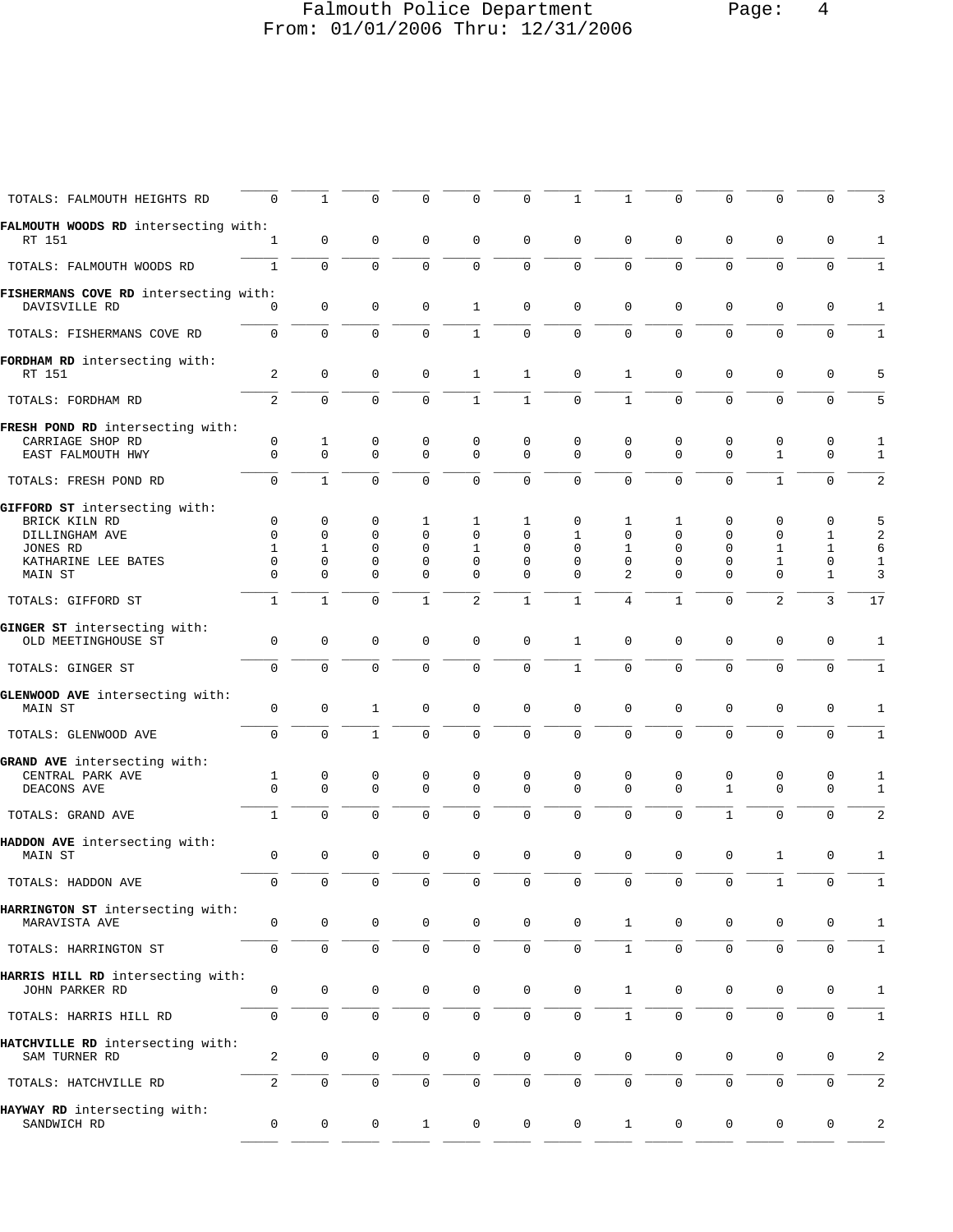# Falmouth Police Department Page: 4 From: 01/01/2006 Thru: 12/31/2006

| TOTALS: FALMOUTH HEIGHTS RD                                                   | $\Omega$                                                | $\mathbf 1$                                                       | $\Omega$                                                   | $\Omega$                                                | $\Omega$                                      | 0                                   | 1                                                    | 1                                  | $\mathbf 0$                  | $\Omega$                                                        |                                                   | $\mathbf 0$                                          |                                               |
|-------------------------------------------------------------------------------|---------------------------------------------------------|-------------------------------------------------------------------|------------------------------------------------------------|---------------------------------------------------------|-----------------------------------------------|-------------------------------------|------------------------------------------------------|------------------------------------|------------------------------|-----------------------------------------------------------------|---------------------------------------------------|------------------------------------------------------|-----------------------------------------------|
| FALMOUTH WOODS RD intersecting with:<br>RT 151                                | 1                                                       | 0                                                                 | $\mathbf 0$                                                | 0                                                       | $\mathbf 0$                                   | 0                                   | $\mathbf 0$                                          | 0                                  | 0                            | $\mathbf 0$                                                     | 0                                                 | 0                                                    | $\mathbf{1}$                                  |
| TOTALS: FALMOUTH WOODS RD                                                     | $\mathbf{1}$                                            | $\mathbf 0$                                                       | $\mathbf 0$                                                | $\mathbf 0$                                             | $\mathbf 0$                                   | $\mathbf 0$                         | $\Omega$                                             | 0                                  | $\mathbf 0$                  | $\mathbf 0$                                                     | $\mathbf 0$                                       | $\mathbf 0$                                          | 1                                             |
| FISHERMANS COVE RD intersecting with:<br>DAVISVILLE RD                        | $\Omega$                                                | $\mathbf 0$                                                       | $\mathbf 0$                                                | $\mathbf 0$                                             | $\mathbf{1}$                                  | $\mathbf 0$                         | $\mathbf 0$                                          | 0                                  | $\mathbf 0$                  | $\mathbf{0}$                                                    | $\mathbf 0$                                       | $\mathbf 0$                                          | $\mathbf{1}$                                  |
| TOTALS: FISHERMANS COVE RD                                                    | $\mathbf 0$                                             | $\mathbf 0$                                                       | $\mathbf 0$                                                | $\mathbf 0$                                             | $\mathbf{1}$                                  | $\mathsf 0$                         | $\mathbf 0$                                          | $\overline{0}$                     | $\mathbf 0$                  | $\mathbf 0$                                                     | $\mathbf 0$                                       | $\mathsf 0$                                          | 1                                             |
| FORDHAM RD intersecting with:<br>RT 151                                       | 2                                                       | $\mathbf 0$                                                       | 0                                                          | 0                                                       | $\mathbf{1}$                                  | $\mathbf{1}$                        | $\mathbf 0$                                          | 1                                  | 0                            | $\mathbf 0$                                                     | $\mathbf 0$                                       | $\mathbf 0$                                          | 5                                             |
| TOTALS: FORDHAM RD                                                            | 2                                                       | $\Omega$                                                          | $\Omega$                                                   | $\Omega$                                                | $\mathbf{1}$                                  | $\mathbf{1}$                        | $\Omega$                                             | $\mathbf{1}$                       | $\Omega$                     | $\Omega$                                                        | $\Omega$                                          | $\mathbf 0$                                          | 5                                             |
| FRESH POND RD intersecting with:<br>CARRIAGE SHOP RD<br>EAST FALMOUTH HWY     | 0<br>$\Omega$                                           | $\mathbf{1}$<br>$\mathbf 0$                                       | 0<br>$\Omega$                                              | 0<br>$\Omega$                                           | 0<br>$\Omega$                                 | 0<br>$\Omega$                       | 0<br>$\Omega$                                        | 0<br>$\Omega$                      | 0<br>$\Omega$                | $\mathbf 0$<br>$\Omega$                                         | 0<br>$\mathbf{1}$                                 | 0<br>$\Omega$                                        | 1<br>-1                                       |
| TOTALS: FRESH POND RD                                                         | $\mathbf 0$                                             | $\mathbf{1}$                                                      | $\mathbf 0$                                                | $\Omega$                                                | $\mathbf 0$                                   | $\mathbf 0$                         | 0                                                    | $\mathbf 0$                        | $\mathbf 0$                  | $\mathbf{0}$                                                    | $\mathbf{1}$                                      | $\mathbf 0$                                          | 2                                             |
| GIFFORD ST intersecting with:                                                 |                                                         |                                                                   |                                                            |                                                         |                                               |                                     |                                                      |                                    |                              |                                                                 |                                                   |                                                      |                                               |
| BRICK KILN RD<br>DILLINGHAM AVE<br>JONES RD<br>KATHARINE LEE BATES<br>MAIN ST | $\mathbf 0$<br>$\mathbf 0$<br>1<br>$\Omega$<br>$\Omega$ | $\mathbf 0$<br>$\mathbf 0$<br>$\mathbf 1$<br>$\Omega$<br>$\Omega$ | 0<br>$\mathbf 0$<br>$\mathbf 0$<br>$\mathbf 0$<br>$\Omega$ | 1<br>$\mathbf 0$<br>$\Omega$<br>$\mathbf 0$<br>$\Omega$ | 1<br>$\Omega$<br>1<br>$\mathbf 0$<br>$\Omega$ | 1<br>0<br>0<br>$\Omega$<br>$\Omega$ | $\mathbf 0$<br>1<br>$\Omega$<br>$\Omega$<br>$\Omega$ | 1<br>0<br>1<br>0<br>$\overline{2}$ | 1<br>0<br>$\Omega$<br>0<br>0 | $\mathbf 0$<br>$\Omega$<br>$\Omega$<br>$\mathbf{0}$<br>$\Omega$ | 0<br>$\mathbf 0$<br>1<br>$\mathbf{1}$<br>$\Omega$ | $\mathbf 0$<br>1<br>1<br>$\mathbf 0$<br>$\mathbf{1}$ | 5<br>$\overline{a}$<br>6<br>$\mathbf{1}$<br>3 |
| TOTALS: GIFFORD ST                                                            | $\mathbf{1}$                                            | $\mathbf{1}$                                                      | $\Omega$                                                   | $\mathbf{1}$                                            | 2                                             | $\mathbf{1}$                        | $\mathbf{1}$                                         | $\overline{4}$                     | $\mathbf{1}$                 | $\mathbf{0}$                                                    | 2                                                 | 3                                                    | 17                                            |
| GINGER ST intersecting with:<br>OLD MEETINGHOUSE ST                           | 0                                                       | $\mathbf 0$                                                       | 0                                                          | $\mathbf 0$                                             | $\mathbf 0$                                   | 0                                   | 1                                                    | 0                                  | 0                            | $\mathbf 0$                                                     |                                                   |                                                      |                                               |
| TOTALS: GINGER ST                                                             | $\mathbf 0$                                             | $\mathbf 0$                                                       | $\mathbf 0$                                                | $\mathbf 0$                                             | $\mathbf 0$                                   | $\mathbf 0$                         | $\mathbf{1}$                                         | 0                                  | $\mathbf 0$                  | $\mathbf 0$                                                     | 0<br>$\mathbf 0$                                  | 0<br>$\mathbf 0$                                     | 1<br>1                                        |
| GLENWOOD AVE intersecting with:                                               |                                                         |                                                                   |                                                            |                                                         |                                               |                                     |                                                      |                                    |                              |                                                                 |                                                   |                                                      |                                               |
| MAIN ST                                                                       | $\mathsf 0$                                             | $\mathbf 0$                                                       | $\mathbf{1}$                                               | $\mathbf 0$                                             | $\mathbf 0$                                   | $\mathbf 0$                         | $\mathbf 0$                                          | 0                                  | 0                            | $\mathbf{0}$                                                    | 0                                                 | $\mathbf 0$                                          | 1                                             |
| TOTALS: GLENWOOD AVE                                                          | $\Omega$                                                | $\Omega$                                                          | $\mathbf{1}$                                               | $\Omega$                                                | $\mathbf 0$                                   | $\mathbf 0$                         | $\Omega$                                             | $\Omega$                           | $\Omega$                     | $\Omega$                                                        | $\Omega$                                          | $\mathbf 0$                                          | 1                                             |
| GRAND AVE intersecting with:<br>CENTRAL PARK AVE<br>DEACONS AVE               | 1<br>$\Omega$                                           | 0<br>$\mathbf 0$                                                  | 0<br>$\mathbf 0$                                           | 0<br>$\Omega$                                           | 0<br>$\Omega$                                 | 0<br>$\Omega$                       | 0<br>$\Omega$                                        | 0<br>$\Omega$                      | 0<br>$\Omega$                | 0<br>$\mathbf{1}$                                               | 0<br>$\Omega$                                     | 0<br>$\mathbf 0$                                     | 1<br>1                                        |
| TOTALS: GRAND AVE                                                             | $\mathbf{1}$                                            | $\mathbf 0$                                                       | $\mathbf 0$                                                | $\mathbf 0$                                             | $\mathbf 0$                                   | $\mathbf 0$                         | $\mathbf 0$                                          | $\mathbf 0$                        | $\mathbf 0$                  | $\mathbf{1}$                                                    | $\mathbf 0$                                       | $\mathbf 0$                                          | 2                                             |
| HADDON AVE intersecting with:<br>MAIN ST                                      | $\mathbf{0}$                                            | $\mathbf 0$                                                       | $\mathbf 0$                                                | $\mathbf 0$                                             | $\mathbf 0$                                   | $\mathbf 0$                         | $\mathbf 0$                                          | 0                                  | $\mathbf 0$                  | $\mathbf{0}$                                                    | 1                                                 | 0                                                    | 1                                             |
| TOTALS: HADDON AVE                                                            | U                                                       |                                                                   |                                                            | $\mathbf 0$                                             | U                                             |                                     |                                                      | U                                  |                              |                                                                 |                                                   | U                                                    | ⊥                                             |
| HARRINGTON ST intersecting with:<br>MARAVISTA AVE                             | $\mathsf 0$                                             | $\mathbf 0$                                                       | $\mathbf 0$                                                | 0                                                       | $\mathbf 0$                                   | $\mathbf 0$                         | $\mathbf 0$                                          | $\mathbf{1}$                       | 0                            | 0                                                               | 0                                                 | 0                                                    | $\mathbf{1}$                                  |
| TOTALS: HARRINGTON ST                                                         | 0                                                       | $\mathbf 0$                                                       | $\mathbf 0$                                                | $\mathbf 0$                                             | $\mathbf 0$                                   | $\mathbf 0$                         | 0                                                    | $\mathbf{1}$                       | $\mathbf 0$                  | $\mathbf 0$                                                     | $\mathsf{O}\xspace$                               | $\mathsf{O}\xspace$                                  | 1                                             |
| HARRIS HILL RD intersecting with:<br>JOHN PARKER RD                           | $\mathsf 0$                                             | 0                                                                 | $\mathbf 0$                                                | 0                                                       | $\mathbf 0$                                   | $\mathbf 0$                         | $\mathbf 0$                                          | $\mathbf{1}$                       | 0                            | 0                                                               | $\mathbf 0$                                       | 0                                                    | $\mathbf{1}$                                  |
| TOTALS: HARRIS HILL RD                                                        | 0                                                       | $\mathsf{O}\xspace$                                               | $\mathsf 0$                                                | $\mathbf 0$                                             | $\mathsf{O}\xspace$                           | $\mathsf 0$                         | $\mathbf{0}$                                         | $\mathbf{1}$                       | 0                            | $\mathsf{O}\xspace$                                             | $\mathbf 0$                                       | $\mathsf{O}\xspace$                                  | $\mathbf{1}$                                  |
| HATCHVILLE RD intersecting with:<br>SAM TURNER RD                             | 2                                                       | 0                                                                 | 0                                                          | 0                                                       | $\mathbf 0$                                   | $\mathbf 0$                         | 0                                                    | 0                                  | 0                            | 0                                                               | 0                                                 | 0                                                    | $\overline{a}$                                |
| TOTALS: HATCHVILLE RD                                                         | 2                                                       | 0                                                                 | $\mathbf 0$                                                | 0                                                       | $\mathbf 0$                                   | 0                                   | 0                                                    | 0                                  | 0                            | 0                                                               | 0                                                 | $\mathbf 0$                                          | $\overline{a}$                                |
| HAYWAY RD intersecting with:<br>SANDWICH RD                                   | 0                                                       | 0                                                                 | 0                                                          | $\mathbf{1}$                                            | $\mathbf 0$                                   | $\mathsf 0$                         | $\mathsf{O}$                                         | $\mathbf{1}$                       | 0                            | 0                                                               | 0                                                 | $\mathbf 0$                                          | $\overline{a}$                                |
|                                                                               |                                                         |                                                                   |                                                            |                                                         |                                               |                                     |                                                      |                                    |                              |                                                                 |                                                   |                                                      |                                               |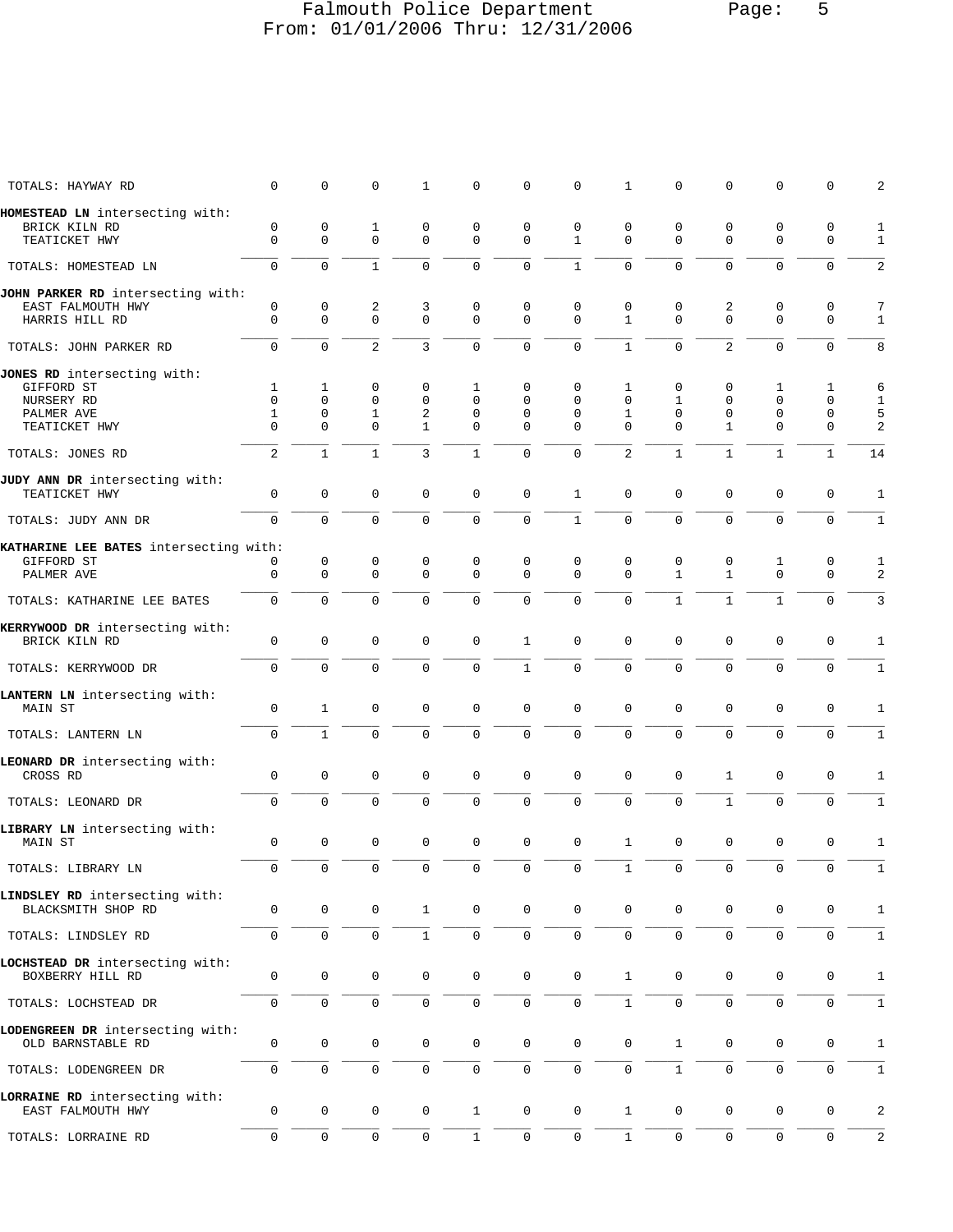## Falmouth Police Department Page: 5 From: 01/01/2006 Thru: 12/31/2006

| TOTALS: HAYWAY RD                                     | $\mathbf 0$      | 0                          | 0                | 1                | 0                   | 0                          | $\mathbf 0$                 | 1                 | 0                 | 0                | $\mathbf 0$         | $\mathbf{0}$        | 2                 |
|-------------------------------------------------------|------------------|----------------------------|------------------|------------------|---------------------|----------------------------|-----------------------------|-------------------|-------------------|------------------|---------------------|---------------------|-------------------|
| HOMESTEAD LN intersecting with:                       |                  |                            |                  |                  |                     |                            |                             |                   |                   |                  |                     |                     |                   |
| BRICK KILN RD<br>TEATICKET HWY                        | 0<br>$\mathbf 0$ | $\mathsf 0$<br>$\mathbf 0$ | 1<br>$\mathbf 0$ | 0<br>$\mathbf 0$ | 0<br>0              | $\mathbf 0$<br>$\mathbf 0$ | $\mathbf 0$<br>$\mathbf{1}$ | 0<br>$\Omega$     | 0<br>$\Omega$     | 0<br>$\Omega$    | 0<br>$\mathbf 0$    | 0<br>$\mathbf 0$    | $\mathbf{1}$<br>1 |
| TOTALS: HOMESTEAD LN                                  | $\Omega$         | $\Omega$                   | $\mathbf{1}$     | $\Omega$         | $\Omega$            | $\mathbf 0$                | $\mathbf{1}$                | $\Omega$          | $\Omega$          | $\Omega$         | $\Omega$            | $\mathbf 0$         | 2                 |
| JOHN PARKER RD intersecting with:                     |                  |                            |                  |                  |                     |                            |                             |                   |                   |                  |                     |                     |                   |
| EAST FALMOUTH HWY<br>HARRIS HILL RD                   | 0<br>$\mathbf 0$ | 0<br>$\mathbf 0$           | 2<br>0           | 3<br>$\mathbf 0$ | 0<br>0              | 0<br>$\mathbf 0$           | 0<br>$\mathbf 0$            | 0<br>$\mathbf{1}$ | 0<br>0            | 2<br>$\mathbf 0$ | 0<br>$\mathbf 0$    | 0<br>$\mathbf 0$    | 7<br>$\mathbf{1}$ |
| TOTALS: JOHN PARKER RD                                | 0                | 0                          | $\overline{c}$   | 3                | 0                   | 0                          | 0                           | $\mathbf{1}$      | 0                 | $\overline{2}$   | $\mathbf 0$         | $\mathbf 0$         | 8                 |
| JONES RD intersecting with:                           |                  |                            |                  |                  |                     |                            |                             |                   |                   |                  |                     |                     |                   |
| GIFFORD ST<br>NURSERY RD                              | 1<br>$\mathbf 0$ | $\mathbf{1}$<br>0          | 0<br>$\mathsf 0$ | 0<br>$\mathbf 0$ | 1<br>0              | 0<br>0                     | $\mathbf{0}$<br>$\mathbf 0$ | 1<br>$\mathbf 0$  | 0<br>$\mathbf{1}$ | 0<br>$\mathbf 0$ | 1<br>$\mathbf 0$    | 1<br>$\mathbf 0$    | 6<br>$\mathbf{1}$ |
| PALMER AVE                                            | 1                | 0                          | 1                | 2                | 0                   | 0                          | 0                           | 1                 | 0                 | 0                | $\mathbf 0$         | $\mathbf 0$         | 5                 |
| TEATICKET HWY                                         | $\Omega$         | $\Omega$                   | $\Omega$         | $\mathbf{1}$     | $\Omega$            | $\Omega$                   | $\Omega$                    | $\Omega$          | $\Omega$          | $\mathbf{1}$     | $\Omega$            | $\Omega$            | 2                 |
| TOTALS: JONES RD                                      | $\overline{a}$   | $\mathbf{1}$               | $\mathbf{1}$     | 3                | $\mathbf{1}$        | $\Omega$                   | $\Omega$                    | $\overline{2}$    | $\mathbf{1}$      | $\mathbf{1}$     | $\mathbf{1}$        | $\mathbf{1}$        | 14                |
| JUDY ANN DR intersecting with:                        |                  |                            |                  |                  |                     |                            |                             |                   |                   |                  |                     |                     |                   |
| TEATICKET HWY                                         | $\mathbf 0$      | 0                          | 0                | $\mathbf 0$      | 0                   | 0                          | $\mathbf{1}$                | 0                 | 0                 | $\mathbf 0$      | $\mathbf 0$         | $\mathbf 0$         | 1                 |
| TOTALS: JUDY ANN DR                                   | $\Omega$         | $\Omega$                   | $\Omega$         | $\Omega$         | 0                   | $\mathbf 0$                | $\mathbf{1}$                | $\Omega$          | $\Omega$          | $\Omega$         | $\Omega$            | $\mathbf 0$         | $\mathbf{1}$      |
| KATHARINE LEE BATES intersecting with:                |                  |                            |                  |                  |                     |                            |                             |                   |                   |                  |                     |                     |                   |
| GIFFORD ST                                            | 0                | 0                          | 0                | 0                | 0                   | 0                          | 0                           | 0                 | 0                 | 0                | 1                   | 0                   | 1                 |
| PALMER AVE                                            | $\mathbf 0$      | $\mathbf 0$                | 0                | $\mathbf 0$      | $\Omega$            | $\mathbf 0$                | $\Omega$                    | $\Omega$          | $\mathbf{1}$      | $\mathbf{1}$     | $\Omega$            | $\Omega$            | 2                 |
| TOTALS: KATHARINE LEE BATES                           | $\overline{0}$   | $\mathbf 0$                | 0                | $\Omega$         | 0                   | $\mathbf 0$                | $\mathbf 0$                 | 0                 | $\mathbf{1}$      | $\mathbf{1}$     | $\mathbf{1}$        | $\Omega$            | $\mathbf{3}$      |
| KERRYWOOD DR intersecting with:                       |                  |                            |                  |                  |                     |                            |                             |                   |                   |                  |                     |                     |                   |
| BRICK KILN RD                                         | $\mathsf 0$      | $\mathbf{0}$               | $\mathsf 0$      | $\mathbf 0$      | $\mathbf 0$         | 1                          | $\mathbf 0$                 | $\mathbf 0$       | $\mathbf 0$       | $\mathbf 0$      | $\mathbf 0$         | $\mathbf 0$         | 1                 |
| TOTALS: KERRYWOOD DR                                  | $\mathbf 0$      | 0                          | 0                | 0                | 0                   | $\mathbf{1}$               | $\mathbf 0$                 | $\mathbf 0$       | 0                 | $\mathbf 0$      | $\mathbf 0$         | $\mathbf 0$         | $\mathbf{1}$      |
| LANTERN LN intersecting with:<br>MAIN ST              | 0                | $\mathbf{1}$               | 0                | 0                | 0                   | 0                          | $\mathbf 0$                 | $\Omega$          | 0                 | $\mathbf 0$      | $\mathbf 0$         | $\mathbf 0$         | 1                 |
| TOTALS: LANTERN LN                                    | 0                | $\mathbf{1}$               | $\mathbf 0$      | 0                | 0                   | $\mathbf 0$                | $\mathbf 0$                 | $\mathbf 0$       | 0                 | $\mathbf 0$      | $\mathbf 0$         | $\mathbf 0$         | $\mathbf{1}$      |
|                                                       |                  |                            |                  |                  |                     |                            |                             |                   |                   |                  |                     |                     |                   |
| LEONARD DR intersecting with:<br>CROSS RD             | 0                | 0                          | 0                | $\mathbf 0$      | 0                   | $\mathbf 0$                | $\mathbf{0}$                | $\mathbf{0}$      | 0                 | 1                | $\mathbf 0$         | $\mathbf 0$         | 1                 |
| TOTALS: LEONARD DR                                    | $\mathbf 0$      | $\mathbf 0$                | 0                | 0                | 0                   | $\mathbf 0$                | $\mathbf 0$                 | $\Omega$          | 0                 | $\mathbf{1}$     | $\mathbf 0$         | $\mathbf 0$         | $\mathbf{1}$      |
| LIBRARY LN intersecting with:<br><b>MAIN ST</b>       | 0                | $\mathbf 0$                | 0                | $\mathbf 0$      | 0                   | 0                          | $\mathbf 0$                 | $\mathbf{1}$      | $\mathbf 0$       | $\mathbf 0$      | $\mathbf 0$         | $\mathbf 0$         | $\mathbf{1}$      |
|                                                       |                  |                            |                  |                  |                     |                            |                             |                   |                   |                  |                     |                     |                   |
| TOTALS: LIBRARY LN                                    | 0                | 0                          | 0                | 0                | 0                   | 0                          | 0                           | $\mathbf{1}$      | $\mathbf 0$       | $\mathbf 0$      | 0                   | $\mathbf 0$         | $\mathbf{1}$      |
| LINDSLEY RD intersecting with:<br>BLACKSMITH SHOP RD  | 0                | 0                          | 0                | $\mathbf{1}$     | 0                   | $\mathbf 0$                | $\mathbf 0$                 | 0                 | 0                 | 0                | 0                   | 0                   | 1                 |
| TOTALS: LINDSLEY RD                                   | 0                | $\mathbf 0$                | $\mathsf 0$      | $\mathbf{1}$     | $\mathsf{O}\xspace$ | $\mathsf{O}\xspace$        | $\mathsf{O}\xspace$         | $\mathsf{O}$      | $\mathsf{O}$      | $\mathbf 0$      | $\mathsf{O}\xspace$ | $\mathsf{O}\xspace$ | $\mathbf{1}$      |
| LOCHSTEAD DR intersecting with:<br>BOXBERRY HILL RD   | $\mathsf 0$      | 0                          | 0                | 0                | 0                   | $\mathbf 0$                | $\mathbf 0$                 | $\mathbf{1}$      | $\mathbf 0$       | $\mathbf 0$      | $\mathbf 0$         | 0                   | 1                 |
| TOTALS: LOCHSTEAD DR                                  | 0                | $\mathbf 0$                | 0                | 0                | 0                   | $\mathbf 0$                | $\mathbf 0$                 | $\mathbf{1}$      | $\mathsf 0$       | $\mathbf 0$      | $\mathbf 0$         | $\mathbf 0$         | $\mathbf{1}$      |
| LODENGREEN DR intersecting with:<br>OLD BARNSTABLE RD | $\mathsf 0$      | $\mathbf 0$                | $\mathsf 0$      | $\mathbf 0$      | 0                   | $\mathbf 0$                | $\mathbf 0$                 | 0                 | $\mathbf{1}$      | 0                | 0                   | $\mathbf 0$         | 1                 |
| TOTALS: LODENGREEN DR                                 | 0                | $\mathbf{0}$               | 0                | 0                | 0                   | $\mathbf 0$                | $\mathsf{O}\xspace$         | $\mathbf 0$       | $\mathbf{1}$      | $\Omega$         | $\mathbf 0$         | 0                   | $\mathbf{1}$      |
| LORRAINE RD intersecting with:                        |                  |                            |                  |                  |                     |                            |                             |                   |                   |                  |                     |                     |                   |
| EAST FALMOUTH HWY                                     | $\mathsf 0$      | 0                          | 0                | 0                | $\mathbf{1}$        | 0                          | $\mathbf 0$                 | $\mathbf{1}$      | 0                 | $\mathbf 0$      | 0                   | $\mathbf 0$         | 2                 |
| TOTALS: LORRAINE RD                                   | 0                | 0                          | $\mathsf 0$      | 0                | $\mathbf{1}$        | $\mathsf{O}\xspace$        | $\mathsf{O}$                | $\mathbf{1}$      | $\mathbf 0$       | $\mathbf 0$      | $\mathsf 0$         | $\mathbf 0$         | $\overline{2}$    |
|                                                       |                  |                            |                  |                  |                     |                            |                             |                   |                   |                  |                     |                     |                   |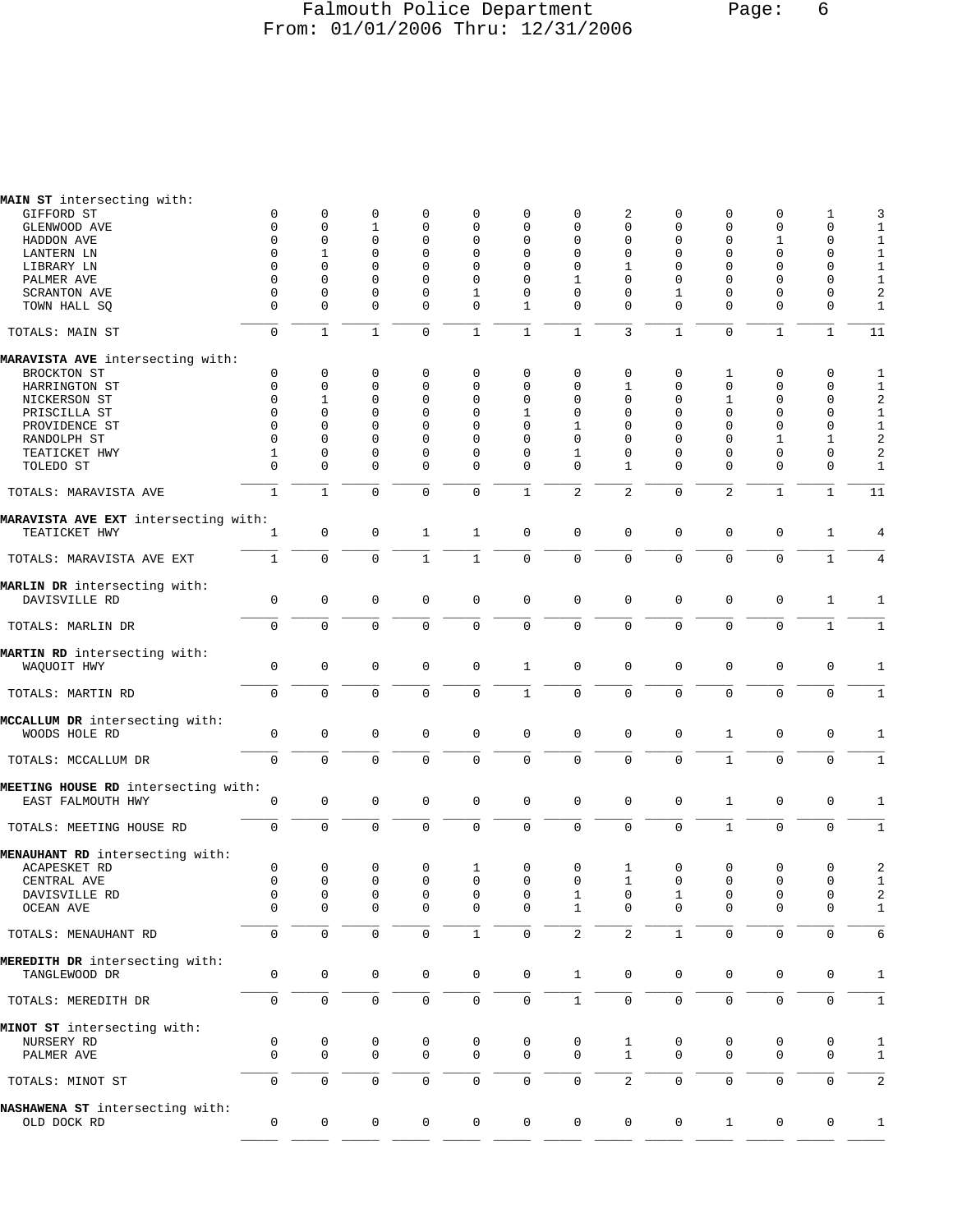#### Falmouth Police Department Page: 6 From: 01/01/2006 Thru: 12/31/2006

| MAIN ST intersecting with:                               |              |                     |              |                     |              |              |              |                |              |              |                     |              |                |
|----------------------------------------------------------|--------------|---------------------|--------------|---------------------|--------------|--------------|--------------|----------------|--------------|--------------|---------------------|--------------|----------------|
| GIFFORD ST                                               | 0            | 0                   | 0            | 0                   | 0            | 0            | 0            | 2              | 0            | 0            | 0                   | 1            | 3              |
| GLENWOOD AVE                                             | $\mathbf 0$  | $\mathbf 0$         | 1            | $\mathbf 0$         | 0            | 0            | $\mathbf 0$  | 0              | $\mathbf 0$  | 0            | $\mathbf 0$         | 0            | $1\,$          |
| HADDON AVE                                               | 0            | $\mathbf 0$         | 0            | $\mathbf 0$         | 0            | 0            | 0            | 0              | 0            | 0            | 1                   | $\mathbf 0$  | $1\,$          |
| LANTERN LN                                               | 0            | 1                   | 0            | $\mathbf 0$         | 0            | 0            | 0            | $\Omega$       | $\Omega$     | 0            | $\mathbf 0$         | 0            | $\mathbf{1}$   |
| LIBRARY LN                                               | $\Omega$     | $\Omega$            | 0            | $\Omega$            | 0            | $\Omega$     | $\mathbf 0$  | 1              | $\mathbf 0$  | 0            | $\Omega$            | $\mathbf 0$  | $\mathbf{1}$   |
| PALMER AVE                                               | 0            | $\mathbf 0$         | 0            | $\Omega$            | 0            | 0            | 1            | 0              | $\mathbf 0$  | 0            | $\mathbf 0$         | $\mathbf 0$  | $\mathbf 1$    |
| <b>SCRANTON AVE</b>                                      | $\Omega$     | $\mathbf 0$         | 0            | $\mathbf 0$         | 1            | 0            | 0            | $\Omega$       | 1            | 0            | 0                   | $\Omega$     | $\sqrt{2}$     |
| TOWN HALL SQ                                             | $\mathbf 0$  | $\mathbf 0$         | 0            | $\mathbf{0}$        | 0            | $\mathbf{1}$ | $\mathbf 0$  | 0              | $\mathbf 0$  | 0            | $\mathbf 0$         | $\mathbf 0$  | $\mathbf{1}$   |
| TOTALS: MAIN ST                                          | $\mathbf 0$  | $\mathbf{1}$        | $\mathbf{1}$ | $\mathbf{0}$        | $\mathbf{1}$ | $\mathbf{1}$ | $1\,$        | 3              | $\mathbf 1$  | $\mathbf 0$  | $1\,$               | $\mathbf{1}$ | 11             |
| MARAVISTA AVE intersecting with:                         |              |                     |              |                     |              |              |              |                |              |              |                     |              |                |
| BROCKTON ST                                              | 0            | $\mathbf 0$         | 0            | 0                   | 0            | 0            | 0            | 0              | 0            | 1            | 0                   | 0            | 1              |
| HARRINGTON ST                                            | 0            | $\mathbf 0$         | 0            | $\Omega$            | 0            | $\Omega$     | 0            | 1              | $\Omega$     | 0            | 0                   | 0            | 1              |
| NICKERSON ST                                             | $\mathbf 0$  | $\mathbf{1}$        | 0            | $\mathbf{0}$        | 0            | 0            | $\mathbf 0$  | 0              | $\mathbf 0$  | 1            | $\mathbf 0$         | $\mathbf 0$  | $\sqrt{2}$     |
| PRISCILLA ST                                             | 0            | $\mathbf 0$         | 0            | $\Omega$            | 0            | 1            | 0            | 0              | 0            | 0            | 0                   | 0            | $\mathbf{1}$   |
| PROVIDENCE ST                                            | 0            | $\mathbf 0$         | 0            | $\Omega$            | 0            | 0            | 1            | $\Omega$       | $\Omega$     | $\Omega$     | $\Omega$            | $\mathbf 0$  | $\mathbf{1}$   |
| RANDOLPH ST                                              | $\Omega$     | $\Omega$            | 0            | $\Omega$            | 0            | $\Omega$     | $\mathbf 0$  | $\Omega$       | $\Omega$     | 0            | $\mathbf{1}$        | 1            | 2              |
| TEATICKET HWY                                            | 1            | $\mathbf 0$         | 0            | $\mathbf 0$         | 0            | 0            | 1            | 0              | 0            | 0            | $\mathbf 0$         | 0            | 2              |
| TOLEDO ST                                                | $\Omega$     | $\Omega$            | $\Omega$     | $\Omega$            | 0            | 0            | $\Omega$     | 1              | $\Omega$     | $\Omega$     | $\Omega$            | $\Omega$     | 1              |
| TOTALS: MARAVISTA AVE                                    | $\mathbf{1}$ | $\mathbf{1}$        | $\mathbf 0$  | $\mathbf 0$         | 0            | $\mathbf{1}$ | 2            | $\overline{c}$ | $\mathbf 0$  | 2            | $\mathbf{1}$        | $\mathbf{1}$ | 11             |
| MARAVISTA AVE EXT intersecting with:                     |              |                     |              |                     |              |              |              |                |              |              |                     |              |                |
| TEATICKET HWY                                            | 1            | $\mathbf 0$         | $\mathbf 0$  | $\mathbf{1}$        | $\mathbf{1}$ | $\mathsf 0$  | $\mathbf 0$  | $\mathsf 0$    | $\mathbf 0$  | $\mathbf 0$  | $\mathbf{0}$        | 1            | 4              |
| TOTALS: MARAVISTA AVE EXT                                | $\mathbf{1}$ | $\mathbf 0$         | $\mathbf 0$  | $\mathbf{1}$        | $\mathbf{1}$ | $\mathbf 0$  | $\mathbf 0$  | $\mathbf 0$    | $\mathbf 0$  | 0            | $\mathbf 0$         | $\mathbf{1}$ | $\overline{4}$ |
| MARLIN DR intersecting with:                             |              |                     |              |                     |              |              |              |                |              |              |                     |              |                |
| DAVISVILLE RD                                            | 0            | $\mathsf 0$         | $\mathsf 0$  | $\mathbf 0$         | $\mathbf 0$  | 0            | $\mathsf 0$  | $\mathbf 0$    | 0            | 0            | 0                   | 1            | 1              |
| TOTALS: MARLIN DR                                        | $\mathbf 0$  | $\mathbf 0$         | $\mathbf 0$  | $\mathbf 0$         | $\mathbf 0$  | 0            | $\mathsf 0$  | $\mathbf 0$    | $\mathbf 0$  | 0            | $\mathbf 0$         | $\mathbf{1}$ | $\mathbf{1}$   |
| MARTIN RD intersecting with:                             |              |                     |              |                     |              |              |              |                |              |              |                     |              |                |
| WAQUOIT HWY                                              | 0            | $\mathsf 0$         | 0            | $\mathbf 0$         | 0            | $\mathbf{1}$ | $\mathsf 0$  | $\mathbf{0}$   | 0            | 0            | $\mathbf{0}$        | 0            | 1              |
| TOTALS: MARTIN RD                                        | $\mathbf 0$  | $\mathbf 0$         | $\mathbf 0$  | $\mathbf 0$         | 0            | $\mathbf{1}$ | $\mathbf 0$  | $\mathbf 0$    | $\mathbf 0$  | $\mathbf 0$  | $\mathbf 0$         | $\mathbf 0$  | $1\,$          |
|                                                          |              |                     |              |                     |              |              |              |                |              |              |                     |              |                |
| MCCALLUM DR intersecting with:                           |              |                     |              | $\mathbf{0}$        |              | $\mathsf 0$  | $\mathsf 0$  |                |              |              |                     |              |                |
| WOODS HOLE RD                                            | $\mathsf 0$  | $\mathsf 0$         | $\mathbf 0$  |                     | $\mathsf 0$  |              |              | $\mathsf 0$    | 0            | $\mathbf{1}$ | $\mathsf 0$         | $\mathbf 0$  | 1              |
| TOTALS: MCCALLUM DR                                      | 0            | $\mathbf 0$         | 0            | $\mathbf 0$         | 0            | 0            | $\mathsf 0$  | 0              | 0            | $\mathbf 1$  | $\mathsf 0$         | $\mathbf 0$  | $\mathbf{1}$   |
|                                                          |              |                     |              |                     |              |              |              |                |              |              |                     |              |                |
| MEETING HOUSE RD intersecting with:<br>EAST FALMOUTH HWY | 0            | $\mathbf 0$         | 0            | $\mathbf 0$         | $\mathsf 0$  | 0            | $\mathsf 0$  | $\mathsf 0$    | 0            | $\mathbf 1$  | $\mathbf 0$         | $\mathbf 0$  | 1              |
|                                                          |              |                     |              |                     |              |              |              |                |              |              |                     |              |                |
| TOTALS: MEETING HOUSE RD                                 | $\mathbf 0$  | $\mathsf 0$         | $\mathsf 0$  | 0                   | 0            | 0            | $\mathsf 0$  | $\mathsf 0$    | $\mathsf 0$  | $\mathbf 1$  | $\mathbf 0$         | $\mathbf 0$  | $\mathbf 1$    |
| MENAUHANT RD intersecting with:                          |              |                     |              |                     |              |              |              |                |              |              |                     |              |                |
| ACAPESKET RD                                             | 0            | 0                   | 0            | 0                   | 1            | 0            | 0            | 1              | 0            | 0            | 0                   | 0            | 2              |
| CENTRAL AVE                                              | $\mathbf 0$  | $\mathbf 0$         | 0            | $\mathbf 0$         | $\mathsf 0$  | 0            | 0            | $\mathbf{1}$   | $\mathbf 0$  | 0            | $\mathbf{0}$        | 0            | 1              |
| DAVISVILLE RD                                            | 0            | $\mathbf 0$         | 0            | $\mathbf 0$         | $\mathbf 0$  | $\cap$       | 1            | $\Omega$       | $\mathbf{1}$ | $\Omega$     | 0                   | $\Omega$     | 2              |
| OCEAN AVE                                                | 0            | 0                   | 0            | $\mathbf 0$         | 0            | 0            | 1            | 0              | 0            | 0            | 0                   | 0            | 1              |
| TOTALS: MENAUHANT RD                                     | $\mathbf 0$  | $\mathbf 0$         | $\mathbf 0$  | $\mathsf{O}\xspace$ | $\mathbf{1}$ | $\mathbf 0$  | 2            | 2              | $\mathbf{1}$ | $\mathsf{O}$ | $\mathsf{O}\xspace$ | $\mathbf 0$  | 6              |
| MEREDITH DR intersecting with:                           |              |                     |              |                     |              |              |              |                |              |              |                     |              |                |
| TANGLEWOOD DR                                            | 0            | $\mathbf 0$         | 0            | 0                   | 0            | 0            | $\mathbf{1}$ | 0              | 0            | 0            | 0                   | 0            | 1              |
| TOTALS: MEREDITH DR                                      | 0            | $\mathbf 0$         | $\mathsf 0$  | $\mathbf 0$         | 0            | 0            | $\mathbf{1}$ | 0              | $\mathbf 0$  | 0            | $\mathsf 0$         | $\mathbf 0$  | $\mathbf{1}$   |
| MINOT ST intersecting with:                              |              |                     |              |                     |              |              |              |                |              |              |                     |              |                |
| NURSERY RD                                               | 0            | 0                   | 0            | 0                   | 0            | $\mathsf 0$  | 0            | 1              | 0            | 0            | 0                   | 0            | 1              |
| PALMER AVE                                               | $\mathbf 0$  | $\mathbf 0$         | $\mathbf 0$  | $\mathbf 0$         | $\mathbf 0$  | $\mathbf 0$  | $\mathbf 0$  | $\mathbf{1}$   | $\mathbf 0$  | 0            | $\mathbf{0}$        | $\mathbf 0$  | $\mathbf{1}$   |
|                                                          |              |                     |              |                     |              |              |              |                |              |              |                     |              |                |
| TOTALS: MINOT ST                                         | $\mathbf 0$  | $\mathsf{O}\xspace$ | 0            | $\mathsf{O}\xspace$ | 0            | 0            | $\mathsf 0$  | 2              | $\mathsf 0$  | 0            | $\mathsf 0$         | $\mathbf 0$  | $\sqrt{2}$     |
| NASHAWENA ST intersecting with:                          |              |                     |              |                     |              |              |              |                |              |              |                     |              |                |
| OLD DOCK RD                                              | 0            | 0                   | 0            | 0                   | 0            | 0            | $\mathsf 0$  | 0              | 0            | $\mathbf{1}$ | 0                   | 0            | $\mathbf{1}$   |

\_\_\_\_\_ \_\_\_\_\_ \_\_\_\_\_ \_\_\_\_\_ \_\_\_\_\_ \_\_\_\_\_ \_\_\_\_\_ \_\_\_\_\_ \_\_\_\_\_ \_\_\_\_\_ \_\_\_\_\_ \_\_\_\_\_ \_\_\_\_\_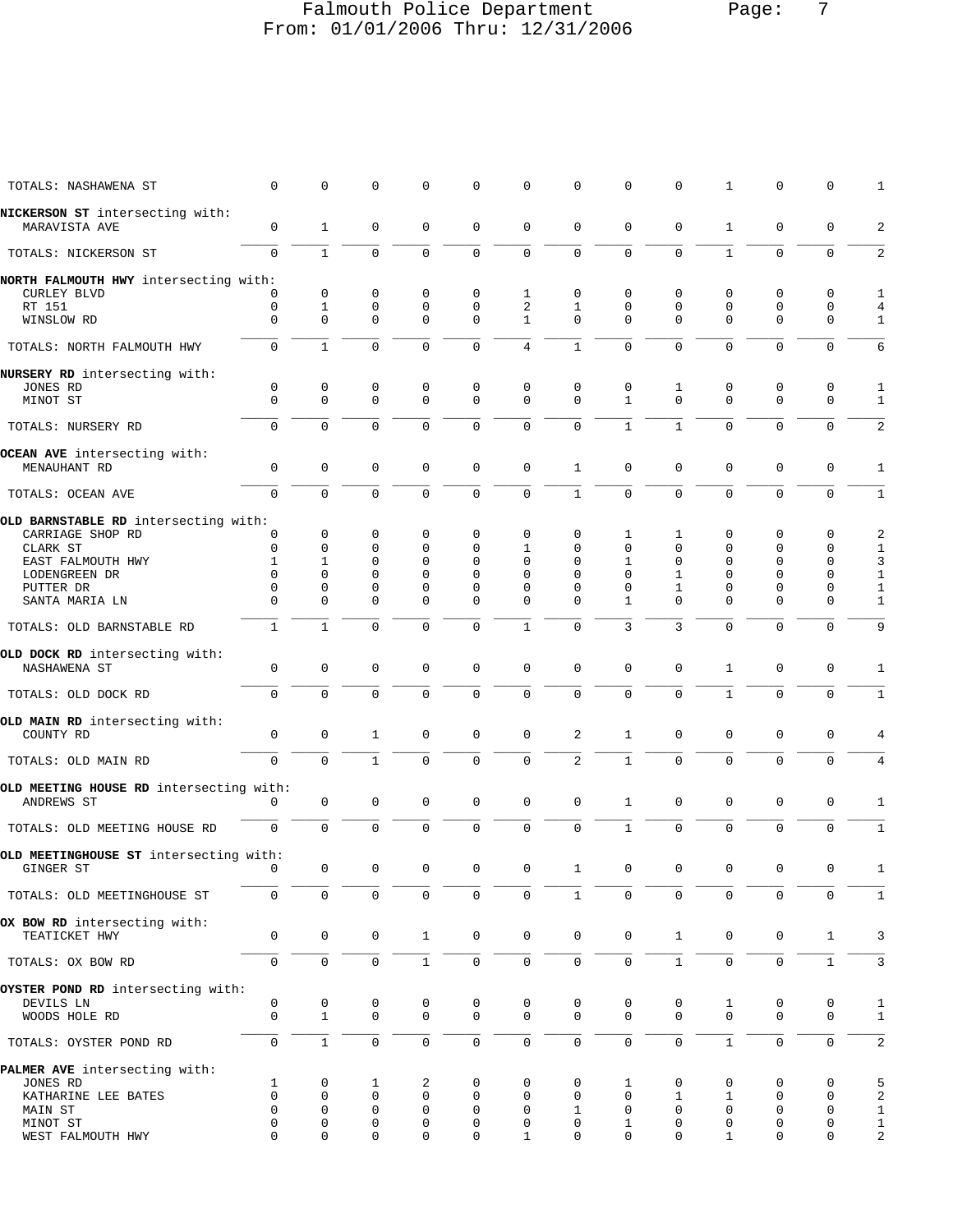## Falmouth Police Department Page: 7 From: 01/01/2006 Thru: 12/31/2006

| TOTALS: NASHAWENA ST                                        | $\mathbf 0$  | $\mathbf 0$      | $\mathbf 0$  | 0                       | 0                          | $\mathbf 0$      | $\mathbf 0$             | $\Omega$      | 0            | $\mathbf{1}$  | $\mathbf 0$             | 0                | 1                            |
|-------------------------------------------------------------|--------------|------------------|--------------|-------------------------|----------------------------|------------------|-------------------------|---------------|--------------|---------------|-------------------------|------------------|------------------------------|
| NICKERSON ST intersecting with:                             |              |                  |              |                         |                            |                  |                         |               |              |               |                         |                  |                              |
| MARAVISTA AVE                                               | 0            | $\mathbf{1}$     | 0            | $\mathbf 0$             | 0                          | $\mathbf 0$      | $\mathbf 0$             | $\Omega$      | 0            | $\mathbf{1}$  | $\mathbf 0$             | $\mathbf 0$      | $\overline{c}$               |
| TOTALS: NICKERSON ST                                        | $\mathbf 0$  | $\mathbf{1}$     | $\mathbf 0$  | $\mathbf 0$             | $\mathbf{0}$               | $\mathbf 0$      | $\mathsf 0$             | 0             | 0            | $\mathbf{1}$  | $\mathbf 0$             | 0                | 2                            |
| NORTH FALMOUTH HWY intersecting with:<br><b>CURLEY BLVD</b> |              | 0                | 0            | 0                       | 0                          | 1                | 0                       | 0             | 0            | $\mathbf 0$   | 0                       | 0                | 1                            |
| RT 151                                                      | 0            | $\mathbf{1}$     | 0            | $\mathbf 0$             | 0                          | 2                | 1                       | $\mathbf 0$   | $\mathbf 0$  | 0             | 0                       | 0                | $\overline{4}$               |
| WINSLOW RD                                                  | $\Omega$     | $\mathbf 0$      | $\Omega$     | $\Omega$                | $\Omega$                   | 1                | $\Omega$                | $\Omega$      | $\Omega$     | $\Omega$      | $\Omega$                | $\mathbf 0$      | $\mathbf{1}$                 |
| TOTALS: NORTH FALMOUTH HWY                                  | 0            | $\mathbf{1}$     | $\mathbf 0$  | $\mathbf 0$             | 0                          | 4                | $\mathbf{1}$            | <sup>0</sup>  | $\Omega$     | $\mathbf 0$   | $\mathbf 0$             | 0                | 6                            |
| NURSERY RD intersecting with:                               |              |                  |              |                         |                            |                  |                         |               |              |               |                         |                  |                              |
| JONES RD                                                    | 0            | 0                | 0            | 0                       | 0                          | 0                | 0                       | 0             | 1            | 0             | 0                       | 0                | 1                            |
| MINOT ST                                                    | $\mathbf 0$  | $\mathbf 0$      | $\mathbf 0$  | $\Omega$                | $\mathbf{0}$               | $\mathbf 0$      | $\Omega$                | $\mathbf{1}$  | $\Omega$     | $\Omega$      | $\Omega$                | $\Omega$         | $\mathbf{1}$                 |
| TOTALS: NURSERY RD                                          | 0            | $\mathbf 0$      | $\mathbf 0$  | $\Omega$                | 0                          | $\mathbf 0$      | $\mathbf 0$             | $\mathbf{1}$  | $\mathbf{1}$ | $\Omega$      | $\mathbf 0$             | $\Omega$         | 2                            |
| OCEAN AVE intersecting with:                                |              |                  |              |                         |                            |                  |                         |               |              |               |                         |                  |                              |
| MENAUHANT RD                                                | 0            | $\mathbf 0$      | 0            | 0                       | 0                          | 0                | 1                       | $\Omega$      | $\mathbf 0$  | 0             | $\mathbf 0$             | 0                | 1                            |
| TOTALS: OCEAN AVE                                           | $\mathbf 0$  | $\mathbf 0$      | $\mathbf 0$  | $\Omega$                | $\mathbf 0$                | $\mathbf 0$      | $\mathbf{1}$            | $\mathbf 0$   | $\mathbf 0$  | $\mathbf 0$   | $\mathbf 0$             | $\mathbf 0$      | $\mathbf{1}$                 |
| OLD BARNSTABLE RD intersecting with:                        |              |                  |              |                         |                            |                  |                         |               |              |               |                         |                  |                              |
| CARRIAGE SHOP RD                                            | 0            | 0                | 0            | 0                       | 0                          | 0                | 0                       | 1             | 1            | 0             | 0                       | 0                | 2                            |
| CLARK ST                                                    | $\mathbf 0$  | 0                | 0            | 0                       | $\Omega$                   | 1                | $\mathbf 0$             | $\mathbf 0$   | $\Omega$     | 0             | $\Omega$                | 0                | $\mathbf{1}$                 |
| EAST FALMOUTH HWY                                           | 1            | $\mathbf 1$      | 0            | 0                       | $\mathbf 0$                | 0                | $\mathbf 0$             | 1             | $\mathbf 0$  | 0             | $\Omega$                | 0                | 3                            |
| LODENGREEN DR<br>PUTTER DR                                  | 0<br>0       | $\Omega$<br>0    | 0<br>0       | $\Omega$<br>$\mathbf 0$ | $\mathbf 0$<br>$\mathbf 0$ | 0<br>0           | $\Omega$<br>$\mathbf 0$ | $\Omega$<br>0 | 1<br>1       | $\Omega$<br>0 | $\Omega$<br>$\mathbf 0$ | 0<br>0           | $\mathbf{1}$<br>$\mathbf{1}$ |
| SANTA MARIA LN                                              | $\Omega$     | $\Omega$         | 0            | $\Omega$                | 0                          | 0                | $\Omega$                | 1             | 0            | $\Omega$      | 0                       | 0                | 1                            |
| TOTALS: OLD BARNSTABLE RD                                   | $\mathbf{1}$ | $\mathbf{1}$     | $\mathbf 0$  | $\mathbf 0$             | $\mathbf{0}$               | $\mathbf 1$      | $\mathbf 0$             | 3             | 3            | $\mathbf 0$   | $\mathbf 0$             | 0                | 9                            |
|                                                             |              |                  |              |                         |                            |                  |                         |               |              |               |                         |                  |                              |
| OLD DOCK RD intersecting with:<br>NASHAWENA ST              | 0            | $\mathbf 0$      | 0            | $\mathbf 0$             | 0                          | $\mathbf 0$      | $\mathbf 0$             | $\mathbf 0$   | 0            | $\mathbf{1}$  | $\mathbf 0$             | 0                | 1                            |
| TOTALS: OLD DOCK RD                                         | 0            | $\mathbf 0$      | $\mathbf 0$  | $\Omega$                | $\mathbf{0}$               | $\mathbf 0$      | $\mathbf 0$             | 0             | 0            | $\mathbf{1}$  | 0                       | $\Omega$         | 1                            |
| OLD MAIN RD intersecting with:                              |              |                  |              |                         |                            |                  |                         |               |              |               |                         |                  |                              |
| COUNTY RD                                                   | $\mathsf 0$  | $\mathsf 0$      | 1            | 0                       | 0                          | $\mathbf 0$      | 2                       | 1             | 0            | $\mathbf 0$   | $\mathbf 0$             | $\mathbf 0$      |                              |
| TOTALS: OLD MAIN RD                                         | 0            | $\mathbf 0$      | $\mathbf{1}$ | $\Omega$                | $\mathbf{0}$               | $\mathbf 0$      | $\overline{c}$          | $\mathbf{1}$  | 0            | $\Omega$      | 0                       | $\mathbf 0$      | 4                            |
| OLD MEETING HOUSE RD intersecting with:                     |              |                  |              |                         |                            |                  |                         |               |              |               |                         |                  |                              |
| ANDREWS ST                                                  | $\Omega$     | $\mathbf 0$      | 0            | $\mathbf 0$             | $\mathbf 0$                | $\mathbf 0$      | $\mathbf 0$             | 1             | $\mathbf 0$  | $\mathbf 0$   | $\mathbf 0$             | 0                | 1                            |
|                                                             |              |                  |              |                         |                            |                  |                         |               |              |               |                         |                  |                              |
| TOTALS: OLD MEETING HOUSE RD                                | $\mathbf 0$  | $\mathbf 0$      | $\mathbf 0$  | 0                       | $\mathbf 0$                | $\mathbf 0$      | $\mathbf 0$             | $\mathbf{1}$  | $\mathbf 0$  | $\mathbf 0$   | $\mathbf 0$             | $\mathbf 0$      | $\mathbf{1}$                 |
| OLD MEETINGHOUSE ST intersecting with:                      |              |                  |              |                         |                            |                  |                         |               |              |               |                         |                  |                              |
| GINGER ST                                                   | 0            | 0                | 0            | 0                       | 0                          | 0                | $\mathbf{1}$            | 0             | $\pmb{0}$    | 0             | 0                       | 0                | 1                            |
| TOTALS: OLD MEETINGHOUSE ST                                 | 0            | $\mathbf 0$      | $\mathbf 0$  | $\mathbf 0$             | $\mathbf 0$                | $\mathbf 0$      | $\mathbf{1}$            | $\mathbf{0}$  | $\mathbf 0$  | $\mathbf 0$   | $\mathbf 0$             | $\mathbf 0$      | 1                            |
| OX BOW RD intersecting with:                                |              |                  |              |                         |                            |                  |                         |               |              |               |                         |                  |                              |
| TEATICKET HWY                                               | 0            | $\mathbf 0$      | 0            | $\mathbf{1}$            | 0                          | 0                | $\mathbf 0$             | $\mathbf 0$   | $\mathbf 1$  | 0             | 0                       | $\mathbf{1}$     | 3                            |
|                                                             |              |                  |              |                         |                            |                  |                         |               |              |               |                         |                  |                              |
| TOTALS: OX BOW RD                                           | $\mathbf 0$  | $\mathbf 0$      | $\mathbf 0$  | $\mathbf{1}$            | $\mathbf 0$                | $\mathbf 0$      | $\mathbf 0$             | 0             | 1            | $\mathbf 0$   | $\mathbf 0$             | $\mathbf{1}$     | 3                            |
| OYSTER POND RD intersecting with:                           |              |                  |              |                         |                            |                  |                         |               |              |               |                         |                  |                              |
| DEVILS LN                                                   | 0            | 0                | 0            | 0                       | 0                          | $\mathbf 0$      | $\mathbf 0$             | 0             | 0            | 1             | 0                       | 0                | 1                            |
| WOODS HOLE RD                                               | 0            | $\mathbf{1}$     | 0            | $\mathbf 0$             | 0                          | 0                | $\mathbf 0$             | $\Omega$      | $\mathbf 0$  | $\mathbf 0$   | $\mathbf 0$             | $\mathbf 0$      | $\mathbf{1}$                 |
| TOTALS: OYSTER POND RD                                      | 0            | $\mathbf{1}$     | 0            | $\mathbf 0$             | $\mathbf 0$                | $\mathsf{O}$     | $\mathbf 0$             | $\mathbf{0}$  | $\mathbf 0$  | $\mathbf{1}$  | $\mathbf 0$             | $\mathbf 0$      | $\sqrt{2}$                   |
| PALMER AVE intersecting with:                               |              |                  |              |                         |                            |                  |                         |               |              |               |                         |                  |                              |
| JONES RD                                                    | 1            | 0                | 1            | 2                       | 0                          | 0                | 0                       | 1             | 0            | 0             | 0                       | 0                | 5                            |
| KATHARINE LEE BATES                                         | $\mathbf 0$  | 0                | $\mathbf 0$  | $\mathbf 0$             | $\mathbf 0$                | 0                | $\mathbf 0$             | $\mathbf 0$   | 1            | 1             | $\mathbf 0$             | $\mathbf 0$      | $\overline{\mathbf{c}}$      |
| MAIN ST                                                     | $\mathbf 0$  | 0                | 0            | $\mathbf 0$             | 0                          | 0                | 1                       | $\mathbf 0$   | $\mathbf 0$  | 0             | $\mathbf 0$             | 0                | $\mathbf{1}$                 |
| MINOT ST                                                    | 0<br>0       | $\mathbf 0$<br>0 | 0<br>0       | 0<br>0                  | 0<br>0                     | 0<br>$\mathbf 1$ | $\mathbf 0$<br>0        | 1<br>0        | 0<br>0       | 0<br>1        | 0<br>0                  | 0<br>$\mathbf 0$ | $\mathbf{1}$<br>2            |
| WEST FALMOUTH HWY                                           |              |                  |              |                         |                            |                  |                         |               |              |               |                         |                  |                              |
|                                                             |              |                  |              |                         |                            |                  |                         |               |              |               |                         |                  |                              |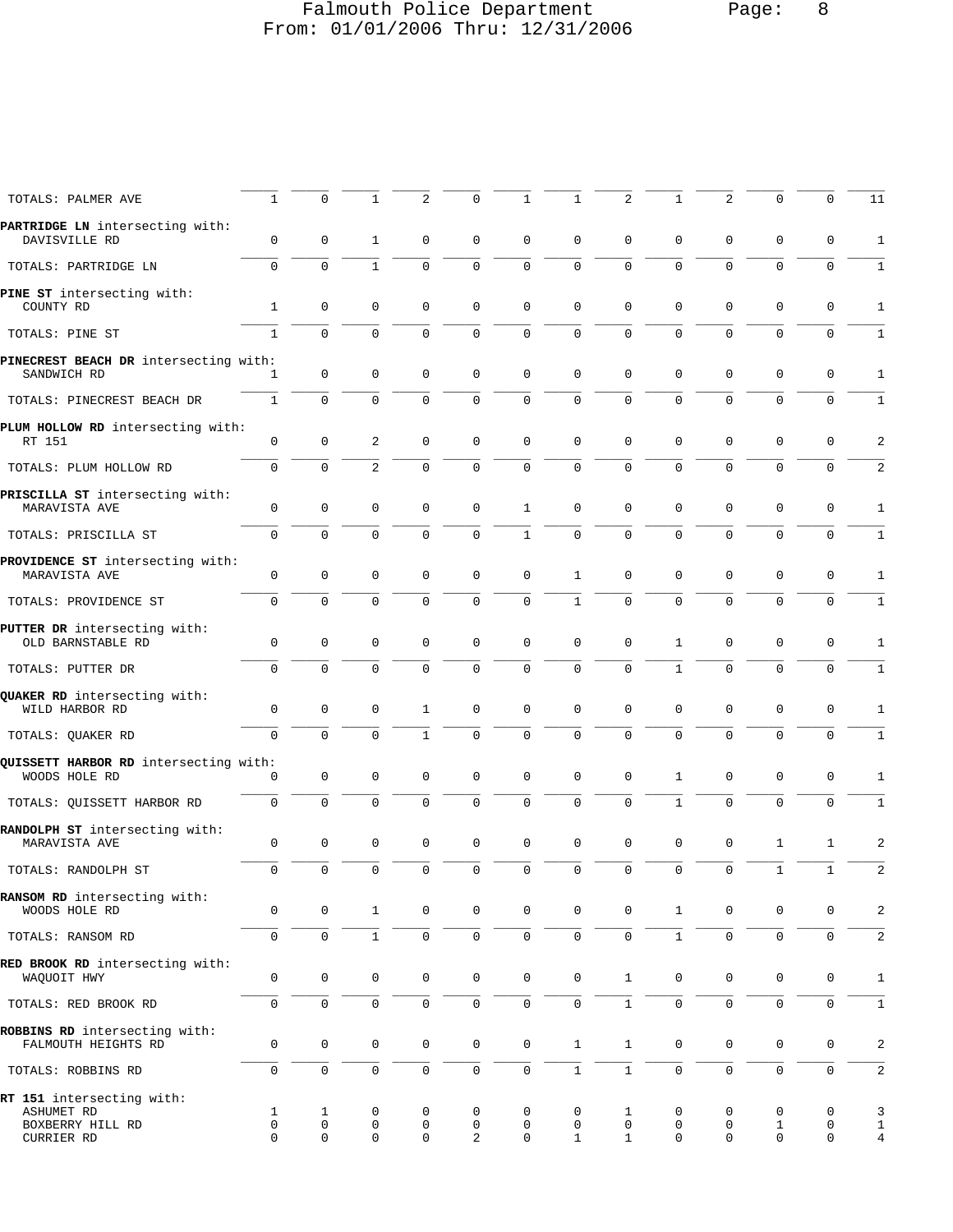## Falmouth Police Department Page: 8 From: 01/01/2006 Thru: 12/31/2006

| TOTALS: PALMER AVE                                                               | 1                     | 0                      | 1                     | $\overline{a}$        | 0                   | 1            | 1                      | $\overline{2}$                   | 1                     | $\overline{2}$        | $\Omega$               | 0                     | 11                       |
|----------------------------------------------------------------------------------|-----------------------|------------------------|-----------------------|-----------------------|---------------------|--------------|------------------------|----------------------------------|-----------------------|-----------------------|------------------------|-----------------------|--------------------------|
| PARTRIDGE LN intersecting with:<br>DAVISVILLE RD                                 | 0                     | 0                      | 1                     | 0                     | 0                   | 0            | $\mathbf 0$            | 0                                | 0                     | $\mathbf 0$           | 0                      | 0                     | 1                        |
| TOTALS: PARTRIDGE LN                                                             | $\mathbf 0$           | $\mathbf 0$            | $\mathbf{1}$          | $\mathbf 0$           | $\mathbf 0$         | $\mathbf 0$  | $\mathbf 0$            | 0                                | $\mathbf 0$           | $\mathbf{0}$          | $\mathbf 0$            | $\mathbf 0$           | 1                        |
| PINE ST intersecting with:<br>COUNTY RD                                          | $\mathbf{1}$          | $\mathsf 0$            | $\mathbf 0$           | $\mathbf 0$           | $\mathbf 0$         | $\mathbf 0$  | $\mathbf 0$            | 0                                | $\mathbf 0$           | $\mathbf 0$           | 0                      | $\mathbf 0$           | $\mathbf{1}$             |
| TOTALS: PINE ST                                                                  | $1\,$                 | $\mathbf 0$            | $\mathbf 0$           | $\mathbf 0$           | $\mathsf 0$         | $\mathsf 0$  | $\mathbf 0$            | $\overline{0}$                   | $\mathbf 0$           | $\mathbf{0}$          | $\mathbf 0$            | $\mathsf 0$           | 1                        |
| PINECREST BEACH DR intersecting with:<br>SANDWICH RD                             | 1                     | 0                      | 0                     | 0                     | 0                   | $\mathbf 0$  | $\mathbf 0$            | 0                                | $\mathsf 0$           | 0                     | 0                      | 0                     | 1                        |
| TOTALS: PINECREST BEACH DR                                                       | $\mathbf{1}$          | $\Omega$               | $\Omega$              | $\Omega$              | $\Omega$            | $\Omega$     | $\Omega$               | $\Omega$                         | $\Omega$              | $\Omega$              | $\Omega$               | $\mathbf 0$           | 1                        |
| PLUM HOLLOW RD intersecting with:<br>RT 151                                      | $\mathsf 0$           | $\mathbf 0$            | 2                     | 0                     | $\mathbf 0$         | $\mathbf 0$  | 0                      | 0                                | 0                     | 0                     | 0                      | 0                     | 2                        |
| TOTALS: PLUM HOLLOW RD                                                           | 0                     | $\mathbf 0$            | $\overline{2}$        | $\mathbf 0$           | $\mathbf 0$         | $\mathsf 0$  | $\mathbf 0$            | 0                                | $\mathbf 0$           | $\mathbf{0}$          | $\mathbf 0$            | $\mathbf 0$           | $\overline{a}$           |
| PRISCILLA ST intersecting with:<br>MARAVISTA AVE                                 | 0                     | $\mathsf 0$            | 0                     | $\mathbf 0$           | $\mathbf 0$         | $\mathbf{1}$ | $\mathbf 0$            | 0                                | $\mathbf 0$           | $\mathbf 0$           | $\mathbf 0$            | 0                     | 1                        |
| TOTALS: PRISCILLA ST                                                             | $\mathbf 0$           | $\mathbf 0$            | $\mathbf 0$           | $\mathbf 0$           | $\mathbf 0$         | $\mathbf{1}$ | 0                      | 0                                | $\mathbf 0$           | $\mathbf 0$           | 0                      | $\mathbf 0$           | 1                        |
| PROVIDENCE ST intersecting with:<br>MARAVISTA AVE                                | $\mathsf 0$           | $\mathbf 0$            | $\mathbf 0$           | $\mathbf 0$           | $\mathbf 0$         | $\mathbf 0$  | 1                      | 0                                | $\mathbf 0$           | $\mathbf 0$           | 0                      | 0                     | 1                        |
| TOTALS: PROVIDENCE ST                                                            | $\mathbf 0$           | $\mathbf 0$            | $\mathbf 0$           | $\mathbf 0$           | $\mathbf 0$         | $\mathbf 0$  | $\mathbf{1}$           | $\mathbf 0$                      | $\mathbf 0$           | $\mathbf{0}$          | $\mathbf 0$            | $\mathbf 0$           | 1                        |
| PUTTER DR intersecting with:<br>OLD BARNSTABLE RD                                | 0                     | $\mathbf 0$            | $\mathbf 0$           | $\mathbf 0$           | $\mathbf 0$         | 0            | 0                      | 0                                | 1                     | $\mathbf 0$           | $\mathbf 0$            | 0                     | 1                        |
| TOTALS: PUTTER DR                                                                | $\mathbf 0$           | $\mathbf 0$            | $\mathbf 0$           | $\mathbf 0$           | $\mathbf 0$         | $\mathbf 0$  | $\mathbf 0$            | 0                                | $\mathbf{1}$          | $\mathbf{0}$          | $\mathbf 0$            | $\mathbf 0$           | 1                        |
| QUAKER RD intersecting with:<br>WILD HARBOR RD                                   | 0                     | 0                      | 0                     | 1                     | 0                   | 0            | $\mathbf 0$            | 0                                | 0                     | $\mathbf 0$           | 0                      | 0                     | 1                        |
| TOTALS: QUAKER RD                                                                | $\mathbf{0}$          | $\Omega$               | $\Omega$              | $\mathbf{1}$          | $\mathbf 0$         | $\mathbf 0$  | $\Omega$               | $\Omega$                         | $\Omega$              | $\mathbf 0$           | 0                      | $\mathbf 0$           | 1                        |
| QUISSETT HARBOR RD intersecting with:<br>WOODS HOLE RD                           | 0                     | 0                      | 0                     | 0                     | $\mathbf 0$         | $\mathbf 0$  | $\mathbf 0$            | 0                                | 1                     | 0                     | 0                      | $\mathsf 0$           | 1                        |
| TOTALS: OUISSETT HARBOR RD                                                       | $\mathsf 0$           | $\mathbf 0$            | $\mathbf 0$           | 0                     | $\mathbf 0$         | 0            | 0                      | 0                                | $\mathbf 1$           | $\mathbf{0}$          | 0                      | $\mathbf 0$           | 1                        |
| RANDOLPH ST intersecting with:<br>MARAVISTA AVE                                  | 0                     | $\mathsf 0$            | 0                     | $\mathbf 0$           | $\mathbf 0$         | $\mathbf 0$  | 0                      | 0                                | $\mathbf 0$           | $\mathbf 0$           | 1                      | 1                     | $\overline{2}$           |
| TOTALS: RANDOLPH ST                                                              | $\mathbf 0$           | $\mathsf 0$            | $\mathbf 0$           | $\mathbf 0$           | $\mathsf 0$         | $\mathsf 0$  | 0                      | $\mathsf 0$                      | $\mathsf 0$           | $\mathbf 0$           | $\mathbf{1}$           | $\mathbf 1$           | $\overline{a}$           |
| RANSOM RD intersecting with:<br>WOODS HOLE RD                                    | 0                     | 0                      | $\mathbf{1}$          | $\mathsf{O}$          | $\mathbf 0$         | $\mathbf 0$  | $\mathsf{O}$           | 0                                | $\mathbf{1}$          | 0                     | 0                      | 0                     | $\overline{2}$           |
| TOTALS: RANSOM RD                                                                | 0                     | $\mathbf 0$            | $\mathbf{1}$          | $\mathbf 0$           | $\mathsf{O}\xspace$ | $\mathsf 0$  | $\mathbf 0$            | $\mathbf 0$                      | $\mathbf{1}$          | $\mathbf 0$           | $\mathbf 0$            | $\mathsf{O}\xspace$   | $\overline{a}$           |
| RED BROOK RD intersecting with:<br>WAQUOIT HWY                                   | $\mathsf 0$           | $\mathbf 0$            | $\mathbf 0$           | 0                     | $\mathbf 0$         | $\mathbf 0$  | $\mathsf 0$            | $\mathbf{1}$                     | 0                     | 0                     | 0                      | $\mathbf 0$           | $\mathbf{1}$             |
| TOTALS: RED BROOK RD                                                             | 0                     | $\mathsf{O}$           | $\mathsf{O}\xspace$   | $\mathbf 0$           | $\mathsf{O}\xspace$ | $\mathsf 0$  | 0                      | $\mathbf{1}$                     | 0                     | $\mathbf 0$           | 0                      | $\mathsf{O}\xspace$   | 1                        |
| ROBBINS RD intersecting with:<br>FALMOUTH HEIGHTS RD                             | $\mathsf 0$           | $\mathsf{O}\xspace$    | $\mathsf 0$           | $\mathbf 0$           | $\mathsf{O}\xspace$ | $\mathsf 0$  | $\mathbf{1}$           | $\mathbf{1}$                     | 0                     | $\mathbf 0$           | $\mathbf 0$            | $\mathsf 0$           | $\overline{a}$           |
| TOTALS: ROBBINS RD                                                               | $\mathsf 0$           | $\mathsf 0$            | $\mathsf{O}\xspace$   | $\mathsf{O}\xspace$   | $\mathsf{O}\xspace$ | $\mathsf 0$  | $\mathbf{1}$           | $\mathbf{1}$                     | 0                     | $\mathsf{O}\xspace$   | $\mathsf{O}\xspace$    | $\mathsf{O}\xspace$   | $\overline{a}$           |
| RT 151 intersecting with:<br><b>ASHUMET RD</b><br>BOXBERRY HILL RD<br>CURRIER RD | 1<br>$\mathbf 0$<br>0 | 1<br>0<br>$\mathbf{0}$ | 0<br>0<br>$\mathbf 0$ | 0<br>0<br>$\mathbf 0$ | 0<br>0<br>2         | 0<br>0<br>0  | 0<br>0<br>$\mathbf{1}$ | 1<br>$\mathsf 0$<br>$\mathbf{1}$ | 0<br>0<br>$\mathbf 0$ | 0<br>0<br>$\mathbf 0$ | 0<br>$\mathbf{1}$<br>0 | 0<br>0<br>$\mathbf 0$ | 3<br>1<br>$\overline{4}$ |
|                                                                                  |                       |                        |                       |                       |                     |              |                        |                                  |                       |                       |                        |                       |                          |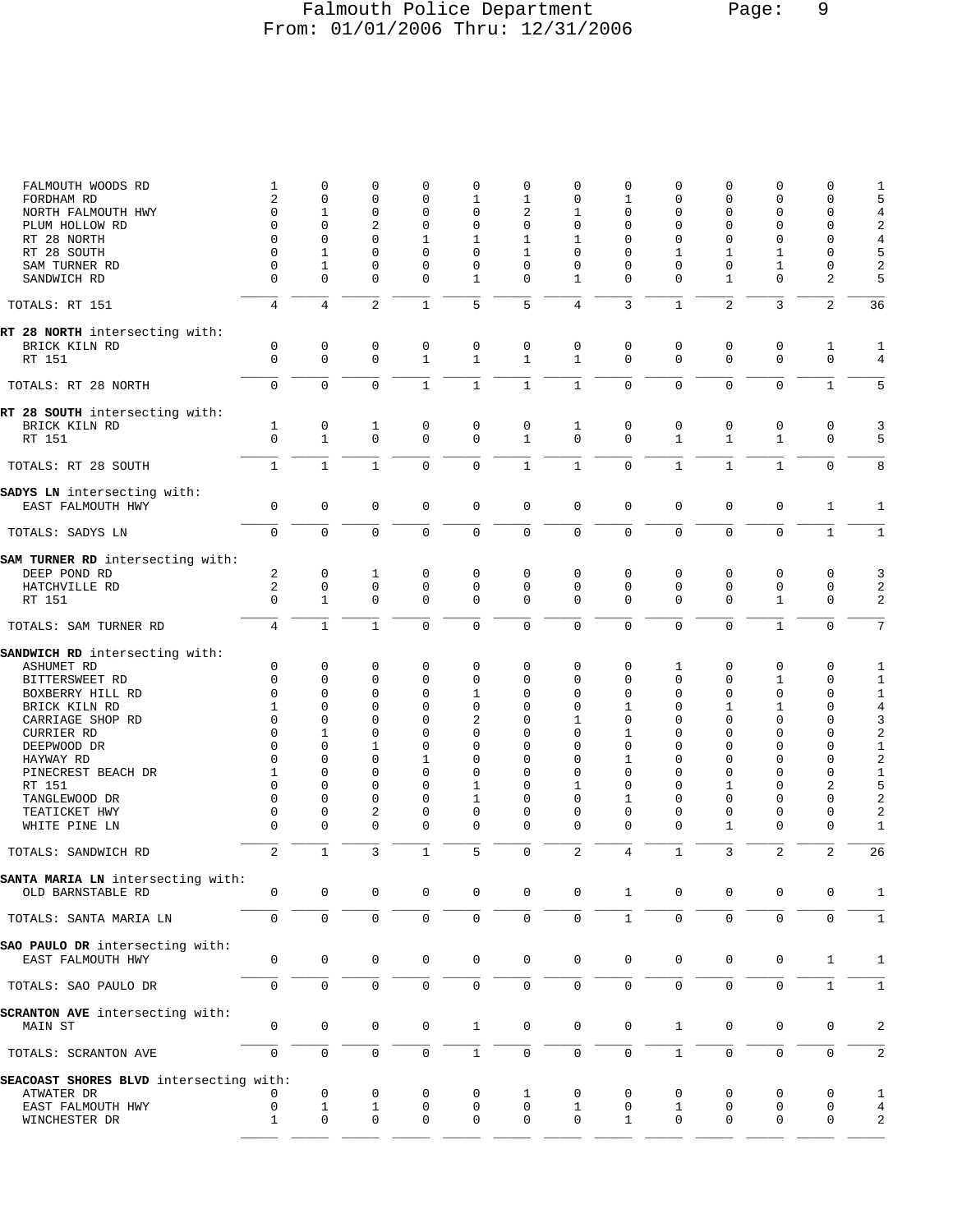## Falmouth Police Department Page: 9 From: 01/01/2006 Thru: 12/31/2006

| FALMOUTH WOODS RD                                | 1              | $\mathbf 0$    | 0              | $\mathbf 0$         | 0            | 0              | $\mathbf 0$    | $\mathbf 0$  | $\Omega$     | 0              | $\mathbf 0$         | $\Omega$       | 1                       |
|--------------------------------------------------|----------------|----------------|----------------|---------------------|--------------|----------------|----------------|--------------|--------------|----------------|---------------------|----------------|-------------------------|
| FORDHAM RD                                       | 2              | $\mathbf 0$    | 0              | $\mathbf{0}$        | $\mathbf{1}$ | $\mathbf{1}$   | $\mathbf 0$    | 1            | $\mathbf 0$  | 0              | $\mathbf 0$         | $\mathbf 0$    | 5                       |
| NORTH FALMOUTH HWY                               | 0              | $\mathbf{1}$   | 0              | $\Omega$            | 0            | $\overline{2}$ | $\mathbf{1}$   | $\Omega$     | $\Omega$     | 0              | $\Omega$            | $\mathbf 0$    | $\sqrt{4}$              |
| PLUM HOLLOW RD                                   | $\Omega$       | $\Omega$       | $\overline{a}$ | $\Omega$            | 0            | $\Omega$       | $\mathbf 0$    | $\Omega$     | $\Omega$     | $\Omega$       | $\Omega$            | $\Omega$       | $\sqrt{2}$              |
| RT 28 NORTH                                      | $\mathbf 0$    | $\mathbf 0$    | $\mathbf 0$    | $\mathbf{1}$        | $\mathbf{1}$ | $\mathbf{1}$   | $\mathbf{1}$   | $\Omega$     | $\Omega$     | $\mathbf 0$    | $\mathbf 0$         | $\Omega$       | $\overline{4}$          |
| RT 28 SOUTH                                      | $\Omega$       | $\mathbf{1}$   | $\Omega$       | $\Omega$            | 0            | $\mathbf{1}$   | $\Omega$       | $\Omega$     | 1            | 1              | $\mathbf{1}$        | $\Omega$       | 5                       |
| SAM TURNER RD                                    | $\mathbf 0$    | 1              | 0              | $\Omega$            | 0            | 0              | $\mathbf 0$    | $\Omega$     | $\Omega$     | 0              | 1                   | $\Omega$       | $\overline{\mathbf{c}}$ |
| SANDWICH RD                                      | $\Omega$       | $\Omega$       | 0              | $\Omega$            | $\mathbf{1}$ | 0              | $\mathbf{1}$   | $\Omega$     | $\Omega$     | $\mathbf{1}$   | $\Omega$            | $\overline{a}$ | 5                       |
| TOTALS: RT 151                                   | 4              | $\overline{4}$ | $\overline{2}$ | $\mathbf{1}$        | 5            | 5              | $\overline{4}$ | 3            | $\mathbf{1}$ | $\overline{a}$ | $\overline{3}$      | $\overline{2}$ | 36                      |
| RT 28 NORTH intersecting with:                   |                |                |                |                     |              |                |                |              |              |                |                     |                |                         |
| BRICK KILN RD                                    | 0              | 0              | 0              | 0                   | 0            | 0              | 0              | 0            | 0            | 0              | 0                   | 1              | 1                       |
| RT 151                                           | $\Omega$       | $\mathbf 0$    | $\Omega$       | $\mathbf{1}$        | $\mathbf{1}$ | $\mathbf{1}$   | $\mathbf{1}$   | $\Omega$     | $\Omega$     | 0              | $\Omega$            | $\Omega$       | $\overline{4}$          |
| TOTALS: RT 28 NORTH                              | $\mathbf 0$    | $\mathbf 0$    | $\mathbf 0$    | $\mathbf{1}$        | $\mathbf{1}$ | $\mathbf{1}$   | $\mathbf{1}$   | $\Omega$     | $\mathbf 0$  | $\mathbf 0$    | $\mathbf{0}$        | $\mathbf{1}$   | 5                       |
| RT 28 SOUTH intersecting with:                   |                |                |                |                     |              |                |                |              |              |                |                     |                |                         |
| BRICK KILN RD                                    | 1              | 0              | 1              | $\mathbf 0$         | $\mathbf 0$  | $\mathbf 0$    | $\mathbf{1}$   | $\mathbf{0}$ | 0            | $\mathbf 0$    | 0                   | $\mathbf 0$    | 3                       |
| RT 151                                           | $\mathbf 0$    | $\mathbf{1}$   | $\mathbf 0$    | $\Omega$            | 0            | $\mathbf{1}$   | $\mathbf 0$    | $\Omega$     | $\mathbf{1}$ | $\mathbf{1}$   | $\mathbf{1}$        | $\mathbf 0$    | 5                       |
| TOTALS: RT 28 SOUTH                              | $\mathbf{1}$   | $\mathbf{1}$   | $\mathbf{1}$   | $\Omega$            | $\Omega$     | $\mathbf{1}$   | $\mathbf{1}$   | $\Omega$     | $\mathbf{1}$ | $\mathbf{1}$   | $\mathbf{1}$        | $\Omega$       | 8                       |
| SADYS LN intersecting with:                      |                |                |                |                     |              |                |                |              |              |                |                     |                |                         |
| EAST FALMOUTH HWY                                | $\mathbf 0$    | $\mathbf 0$    | $\mathbf 0$    | $\mathbf 0$         | $\mathsf 0$  | 0              | $\mathsf 0$    | $\mathbf 0$  | 0            | 0              | $\mathbf{0}$        | $\mathbf{1}$   | 1                       |
| TOTALS: SADYS LN                                 | $\mathbf 0$    | $\mathbf 0$    | $\mathbf 0$    | 0                   | 0            | $\mathbf 0$    | $\mathbf 0$    | 0            | $\mathbf 0$  | 0              | $\mathbf 0$         | $\mathbf{1}$   | $\mathbf{1}$            |
|                                                  |                |                |                |                     |              |                |                |              |              |                |                     |                |                         |
| SAM TURNER RD intersecting with:<br>DEEP POND RD | 2              | $\mathsf 0$    | 1              | $\mathbf 0$         | 0            | 0              | $\mathbf 0$    | $\mathbf{0}$ | 0            | $\mathbf 0$    | $\mathbf 0$         | $\mathbf 0$    | 3                       |
| HATCHVILLE RD                                    | 2              | $\mathbf 0$    | $\mathbf 0$    | $\mathbf{0}$        | 0            | 0              | $\mathbf 0$    | $\mathbf{0}$ | $\mathbf 0$  | $\mathbf 0$    | $\mathbf{0}$        | $\mathbf 0$    | $\sqrt{2}$              |
| RT 151                                           | $\Omega$       | $\mathbf{1}$   | $\mathbf 0$    | $\mathbf{0}$        | $\mathbf 0$  | 0              | $\mathbf 0$    | $\Omega$     | $\Omega$     | $\mathbf 0$    | $\mathbf{1}$        | $\mathbf 0$    | $\overline{2}$          |
| TOTALS: SAM TURNER RD                            | $\overline{4}$ | $\mathbf{1}$   | $\mathbf{1}$   | $\mathbf 0$         | 0            | $\mathbf 0$    | $\mathbf 0$    | 0            | $\mathbf 0$  | 0              | $\mathbf{1}$        | $\mathbf 0$    | 7                       |
| SANDWICH RD intersecting with:                   |                |                |                |                     |              |                |                |              |              |                |                     |                |                         |
| ASHUMET RD                                       | 0              | $\mathbf 0$    | 0              | $\mathbf{0}$        | 0            | 0              | $\mathbf 0$    | $\mathbf{0}$ | 1            | $\mathbf 0$    | $\mathbf 0$         | 0              | 1                       |
| BITTERSWEET RD                                   | $\Omega$       | $\mathbf 0$    | $\mathbf 0$    | $\Omega$            | 0            | $\Omega$       | $\mathbf 0$    | $\Omega$     | $\Omega$     | $\mathbf 0$    | $\mathbf{1}$        | $\mathbf 0$    | $\mathbf 1$             |
| BOXBERRY HILL RD                                 | 0              | $\mathbf 0$    | 0              | $\mathbf{0}$        | $\mathbf{1}$ | 0              | $\mathbf 0$    | $\mathbf{0}$ | $\mathbf 0$  | $\mathbf 0$    | $\mathbf 0$         | $\mathbf 0$    | $\mathbf 1$             |
| BRICK KILN RD                                    | 1              | $\Omega$       | 0              | $\Omega$            | $\Omega$     | $\Omega$       | $\mathbf 0$    | 1            | $\Omega$     | 1              | $\mathbf{1}$        | $\Omega$       | $\bf 4$                 |
| CARRIAGE SHOP RD                                 | $\Omega$       | $\Omega$       | $\Omega$       | $\Omega$            | 2            | $\Omega$       | $\mathbf{1}$   | $\Omega$     | $\Omega$     | $\Omega$       | $\Omega$            | $\Omega$       | 3                       |
| <b>CURRIER RD</b>                                | $\Omega$       | $\mathbf{1}$   | 0              | $\Omega$            | 0            | $\Omega$       | $\mathbf 0$    | 1            | $\Omega$     | $\Omega$       | $\Omega$            | $\Omega$       | $\sqrt{2}$              |
| DEEPWOOD DR                                      | $\Omega$       | $\Omega$       | 1              | $\Omega$            | 0            | $\Omega$       | $\Omega$       | $\Omega$     | $\Omega$     | $\Omega$       | $\Omega$            | $\Omega$       | $\mathbf 1$             |
| HAYWAY RD                                        | $\Omega$       | $\Omega$       | $\Omega$       | $\mathbf{1}$        | 0            | 0              | $\mathbf 0$    | $\mathbf{1}$ | $\Omega$     | $\Omega$       | $\Omega$            | $\Omega$       | $\sqrt{2}$              |
| PINECREST BEACH DR                               | 1              | $\mathbf 0$    | 0              | $\Omega$            | 0            | 0              | $\mathbf 0$    | 0            | $\Omega$     | 0              | $\Omega$            | $\mathbf 0$    | $\mathbf 1$             |
| RT 151                                           | $\Omega$       | $\Omega$       | $\Omega$       | $\Omega$            | 1            | $\Omega$       | 1              | $\Omega$     | $\Omega$     | $\mathbf{1}$   | $\Omega$            | $\overline{2}$ | 5                       |
| TANGLEWOOD DR                                    | $\Omega$       | $\Omega$       | $\mathbf 0$    | $\Omega$            | $\mathbf{1}$ | 0              | $\mathbf 0$    | $\mathbf{1}$ | $\Omega$     | 0              | $\mathbf 0$         | $\mathbf 0$    | $\sqrt{2}$              |
| TEATICKET HWY                                    | 0              | $\mathbf 0$    | 2              | 0                   | 0            | 0              | $\mathbf 0$    | 0            | $\mathbf 0$  | 0              | $\mathbf 0$         | $\mathbf 0$    | $\overline{c}$          |
| WHITE PINE LN                                    | $\Omega$       | $\Omega$       | 0              | $\Omega$            | 0            | 0              | $\mathbf 0$    | $\Omega$     | $\Omega$     | 1              | $\mathbf 0$         | $\Omega$       | $\mathbf{1}$            |
| TOTALS: SANDWICH RD                              | 2              | $\mathbf{1}$   | 3              | $\mathbf{1}$        | 5            | $\mathbf 0$    | $\overline{2}$ | 4            | $\mathbf 1$  | 3              | $\overline{2}$      | $\overline{2}$ | 26                      |
| SANTA MARIA LN intersecting with:                |                |                |                |                     |              |                |                |              |              |                |                     |                |                         |
| OLD BARNSTABLE RD                                | 0              | $\mathsf 0$    | 0              | $\mathbf 0$         | $\mathsf 0$  | 0              | $\mathsf 0$    | $\mathbf{1}$ | 0            | 0              | 0                   | 0              | 1                       |
| TOTALS: SANTA MARIA LN                           | 0              | $\mathsf 0$    | $\mathsf 0$    | $\mathsf{O}\xspace$ | $\mathsf 0$  | $\mathsf 0$    | $\mathsf 0$    | $\mathbf{1}$ | $\mathbf 0$  | 0              | $\mathsf 0$         | $\mathbf 0$    | $\mathbf 1$             |
| SAO PAULO DR intersecting with:                  |                |                |                |                     |              |                |                |              |              |                |                     |                |                         |
| EAST FALMOUTH HWY                                | 0              | $\mathsf 0$    | 0              | $\mathbf 0$         | $\mathsf 0$  | 0              | $\mathsf 0$    | $\mathbf{0}$ | 0            | 0              | 0                   | $\mathbf{1}$   | 1                       |
|                                                  |                |                |                |                     |              |                |                |              |              |                |                     |                |                         |
| TOTALS: SAO PAULO DR                             | $\mathbf 0$    | $\mathbf 0$    | $\mathbf 0$    | $\mathbf 0$         | $\mathbf 0$  | $\mathbf 0$    | $\mathbf 0$    | $\mathbf 0$  | $\mathbf 0$  | $\mathsf{O}$   | $\mathsf{O}\xspace$ | $\mathbf{1}$   | $\mathbf{1}$            |
| SCRANTON AVE intersecting with:                  |                |                |                |                     |              |                |                |              |              |                |                     |                |                         |
| MAIN ST                                          | 0              | 0              | 0              | 0                   | $\mathbf{1}$ | 0              | $\mathbf 0$    | $\mathsf 0$  | $\mathbf 1$  | 0              | 0                   | 0              | 2                       |
| TOTALS: SCRANTON AVE                             | $\mathbf 0$    | $\mathbf 0$    | $\mathbf 0$    | $\mathbf 0$         | $\mathbf{1}$ | 0              | $\mathsf 0$    | 0            | $\mathbf{1}$ | $\mathbf 0$    | $\mathbf{0}$        | $\mathbf 0$    | 2                       |
| SEACOAST SHORES BLVD intersecting with:          |                |                |                |                     |              |                |                |              |              |                |                     |                |                         |
| ATWATER DR                                       | 0              | $\mathbf 0$    | 0              | 0                   | 0            | 1              | 0              | 0            | 0            | 0              | 0                   | $\mathbf 0$    | 1                       |
| EAST FALMOUTH HWY                                | 0              | $\mathbf{1}$   | $\mathbf{1}$   | $\mathsf{O}$        | $\mathsf 0$  | 0              | $\mathbf{1}$   | $\mathsf 0$  | $\mathbf{1}$ | 0              | $\mathbf 0$         | $\mathbf 0$    | $\overline{4}$          |
| WINCHESTER DR                                    | 1              | 0              | 0              | 0                   | 0            | 0              | 0              | 1            | 0            | 0              | 0                   | $\mathbf 0$    | 2                       |
|                                                  |                |                |                |                     |              |                |                |              |              |                |                     |                |                         |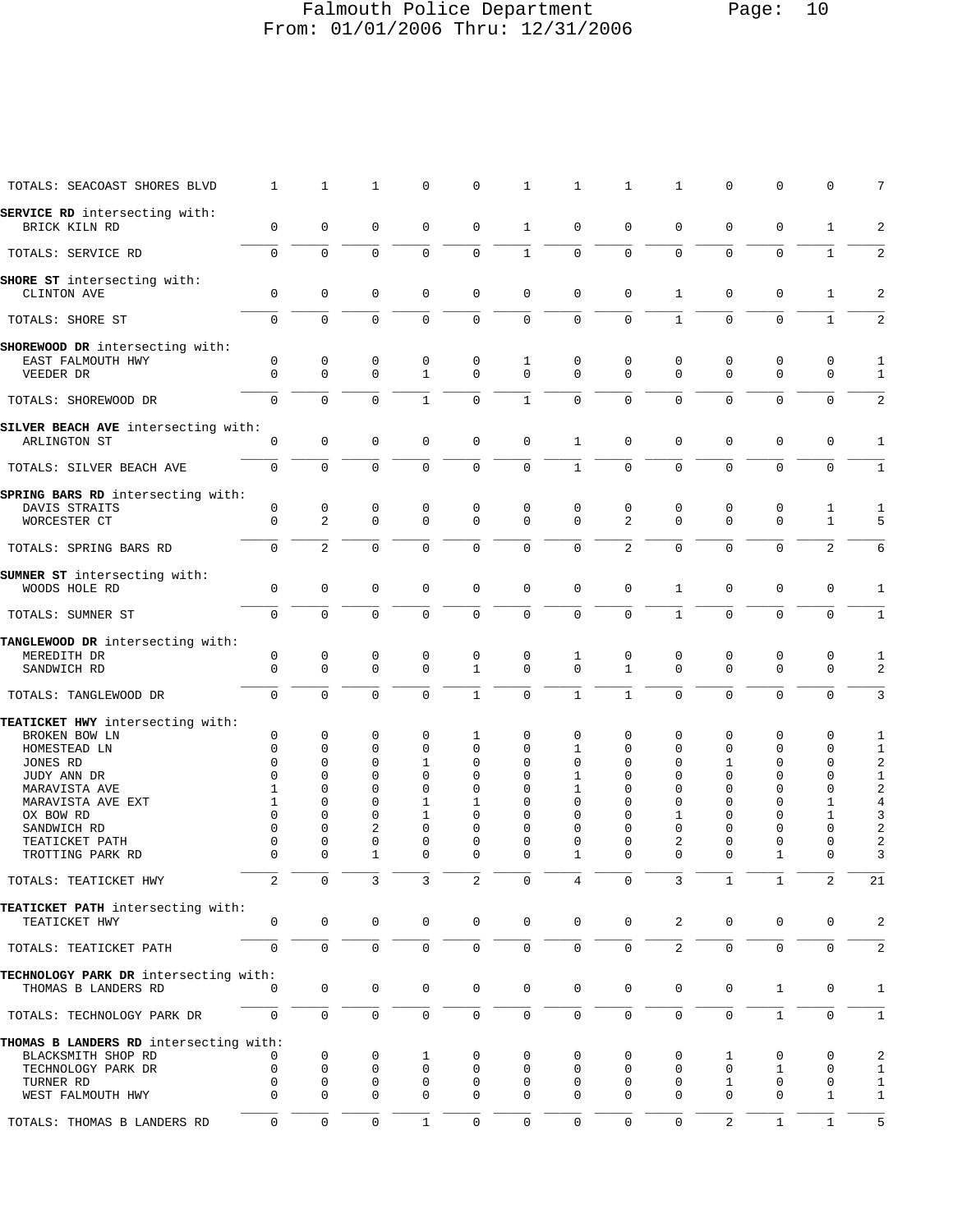## Falmouth Police Department Page: 10 From: 01/01/2006 Thru: 12/31/2006

| TOTALS: SEACOAST SHORES BLVD           | $\mathbf{1}$   | $\mathbf{1}$         | $\mathbf{1}$ | $\mathbf 0$                  | 0                           | $\mathbf{1}$     | $\mathbf{1}$     | $\mathbf{1}$                | $\mathbf{1}$             | $\mathsf 0$          | $\mathsf 0$          | $\mathbf 0$                  | 7              |
|----------------------------------------|----------------|----------------------|--------------|------------------------------|-----------------------------|------------------|------------------|-----------------------------|--------------------------|----------------------|----------------------|------------------------------|----------------|
| SERVICE RD intersecting with:          |                |                      |              |                              |                             |                  |                  |                             |                          |                      |                      |                              |                |
| BRICK KILN RD                          | $\mathbf 0$    | $\mathbf 0$          | $\mathbf 0$  | $\mathbf 0$                  | $\mathbf 0$                 | $\mathbf{1}$     | $\mathbf 0$      | $\mathbf 0$                 | $\mathbf 0$              | $\Omega$             | $\mathbf 0$          | $\mathbf{1}$                 | 2              |
| TOTALS: SERVICE RD                     | 0              | $\Omega$             | $\Omega$     | $\Omega$                     | $\Omega$                    | $\mathbf{1}$     | $\mathbf 0$      | $\mathbf 0$                 | $\Omega$                 | $\Omega$             | $\Omega$             | $\mathbf{1}$                 | $\overline{2}$ |
| SHORE ST intersecting with:            |                |                      |              |                              |                             |                  |                  |                             |                          |                      |                      |                              |                |
| CLINTON AVE                            | $\mathbf 0$    | $\mathbf{0}$         | $\mathbf 0$  | $\mathbf 0$                  | $\mathsf 0$                 | $\mathsf 0$      | $\mathbf 0$      | $\mathbf 0$                 | $\mathbf{1}$             | $\mathbf 0$          | $\mathbf 0$          | $\mathbf{1}$                 | 2              |
| TOTALS: SHORE ST                       | $\Omega$       | $\Omega$             | $\Omega$     | $\Omega$                     | $\mathbf 0$                 | $\mathbf 0$      | $\mathbf 0$      | $\Omega$                    | $\mathbf{1}$             | $\Omega$             | $\Omega$             | $\mathbf{1}$                 | 2              |
| SHOREWOOD DR intersecting with:        |                |                      |              |                              |                             |                  |                  |                             |                          |                      |                      |                              |                |
| EAST FALMOUTH HWY                      | $\mathbf 0$    | $\mathbf{0}$         | 0            | 0                            | 0                           | 1                | 0                | $\mathbf 0$                 | 0                        | 0                    | $\mathbf 0$          | $\mathbf 0$                  | 1              |
| VEEDER DR                              | $\mathbf 0$    | $\mathbf 0$          | $\mathbf 0$  | $\mathbf{1}$                 | $\mathbf 0$                 | $\mathbf 0$      | $\mathbf 0$      | $\Omega$                    | $\Omega$                 | $\Omega$             | $\Omega$             | $\mathbf 0$                  | $\mathbf{1}$   |
| TOTALS: SHOREWOOD DR                   | $\mathbf 0$    | $\mathbf 0$          | $\mathbf 0$  | $\mathbf{1}$                 | 0                           | $\mathbf{1}$     | $\mathbf 0$      | $\mathbf 0$                 | $\mathbf 0$              | $\Omega$             | $\mathbf 0$          | $\mathbf 0$                  | 2              |
| SILVER BEACH AVE intersecting with:    |                |                      |              |                              |                             |                  |                  |                             |                          |                      |                      |                              |                |
| ARLINGTON ST                           | $\mathbf 0$    | $\mathbf 0$          | $\mathbf 0$  | $\mathbf 0$                  | $\mathbf 0$                 | $\mathbf 0$      | $\mathbf{1}$     | $\mathbf 0$                 | $\mathbf 0$              | $\mathbf{0}$         | $\mathbf 0$          | $\mathbf 0$                  | $\mathbf{1}$   |
| TOTALS: SILVER BEACH AVE               | 0              | $\Omega$             | $\Omega$     | $\Omega$                     | $\Omega$                    | $\mathbf 0$      | $\mathbf{1}$     | $\Omega$                    | $\Omega$                 | $\Omega$             | $\Omega$             | $\Omega$                     | $\mathbf{1}$   |
| SPRING BARS RD intersecting with:      |                |                      |              |                              |                             |                  |                  |                             |                          |                      |                      |                              |                |
| DAVIS STRAITS                          | 0              | 0                    | 0            | 0                            | 0                           | $\mathsf 0$      | 0                | 0                           | 0                        | 0                    | 0                    | 1                            | 1              |
| WORCESTER CT                           | $\mathbf 0$    | $\overline{a}$       | $\mathbf 0$  | $\mathbf 0$                  | 0                           | $\mathbf 0$      | $\Omega$         | 2                           | $\Omega$                 | $\Omega$             | $\Omega$             | $\mathbf{1}$                 | 5              |
| TOTALS: SPRING BARS RD                 | 0              | $\overline{2}$       | $\Omega$     | $\Omega$                     | $\Omega$                    | $\mathbf 0$      | $\mathbf 0$      | $\overline{2}$              | 0                        | $\Omega$             | $\Omega$             | $\overline{2}$               | 6              |
| SUMNER ST intersecting with:           |                |                      |              |                              |                             |                  |                  |                             |                          |                      |                      |                              |                |
| WOODS HOLE RD                          | $\mathbf 0$    | $\mathbb O$          | $\mathbf 0$  | $\mathbf 0$                  | $\mathbf 0$                 | $\mathbf 0$      | $\mathsf 0$      | $\mathbf 0$                 | $\mathbf{1}$             | $\mathbf 0$          | $\mathbf 0$          | $\mathbf 0$                  | $\mathbf{1}$   |
| TOTALS: SUMNER ST                      | $\mathbf 0$    | $\Omega$             | $\mathbf 0$  | $\mathbf 0$                  | 0                           | $\mathbf 0$      | $\mathbf 0$      | $\mathbf 0$                 | $\mathbf{1}$             | $\Omega$             | $\Omega$             | $\mathbf 0$                  | $\mathbf{1}$   |
| TANGLEWOOD DR intersecting with:       |                |                      |              |                              |                             |                  |                  |                             |                          |                      |                      |                              |                |
| MEREDITH DR                            | $\mathbf 0$    | $\mathsf 0$          | 0            | 0                            | 0                           | $\mathsf 0$      | 1                | 0                           | 0                        | 0                    | $\mathbf 0$          | $\mathbf 0$                  | $\mathbf{1}$   |
| SANDWICH RD                            | $\overline{0}$ | $\mathbf 0$          | $\Omega$     | $\Omega$                     | $\mathbf{1}$                | $\mathbf 0$      | $\Omega$         | $\mathbf{1}$                | $\Omega$                 | $\Omega$             | $\Omega$             | $\mathbf 0$                  | 2              |
| TOTALS: TANGLEWOOD DR                  | $\mathbf 0$    | $\Omega$             | $\mathbf 0$  | $\Omega$                     | $\mathbf{1}$                | $\mathbf 0$      | $\mathbf{1}$     | $\mathbf{1}$                | $\Omega$                 | $\Omega$             | $\mathbf 0$          | $\mathbf 0$                  | 3              |
| TEATICKET HWY intersecting with:       |                |                      |              |                              |                             |                  |                  |                             |                          |                      |                      |                              |                |
| BROKEN BOW LN                          | $\mathbf 0$    | $\mathbf{0}$         | 0            | $\mathbf 0$                  | 1                           | 0                | $\mathbf 0$      | $\mathbf 0$                 | 0                        | $\mathbf 0$          | $\mathbf 0$          | $\mathbf 0$                  | $\mathbf 1$    |
| HOMESTEAD LN                           | $\mathbf 0$    | 0                    | 0            | $\mathbf 0$                  | 0                           | 0                | 1                | $\mathbf 0$                 | $\mathbf 0$              | $\mathbf 0$          | $\mathbf 0$          | $\mathbf 0$                  | $\mathbf 1$    |
| JONES RD                               | $\Omega$       | $\Omega$             | $\Omega$     | $\mathbf{1}$                 | $\Omega$                    | $\Omega$         | $\mathbf 0$      | $\Omega$                    | $\Omega$                 | $\mathbf{1}$         | $\Omega$             | $\mathbf 0$                  | $\sqrt{2}$     |
| JUDY ANN DR                            | $\Omega$       | $\Omega$             | $\Omega$     | $\mathbf 0$                  | 0                           | 0                | $\mathbf{1}$     | $\mathbf 0$                 | $\Omega$                 | $\Omega$             | $\Omega$             | $\mathbf 0$                  | $\mathbf 1$    |
| MARAVISTA AVE                          | 1              | $\Omega$             | 0            | $\mathbf 0$                  | 0                           | 0                | $\mathbf{1}$     | $\mathbf 0$                 | 0                        | $\Omega$             | $\mathbf 0$          | $\mathbf 0$                  | $\,2$          |
| MARAVISTA AVE EXT                      | 1<br>$\Omega$  | $\Omega$<br>$\Omega$ | 0<br>0       | $\mathbf{1}$<br>$\mathbf{1}$ | $\mathbf{1}$<br>$\mathbf 0$ | 0<br>$\mathbf 0$ | 0<br>$\mathbf 0$ | $\mathbf{0}$<br>$\mathbf 0$ | $\Omega$<br>$\mathbf{1}$ | $\Omega$<br>$\Omega$ | $\Omega$<br>$\Omega$ | $\mathbf{1}$<br>$\mathbf{1}$ | $\bf{4}$<br>3  |
| OX BOW RD<br>SANDWICH RD               | $\Omega$       | $\Omega$             | 2            | $\Omega$                     | $\Omega$                    | 0                | $\mathbf 0$      | $\Omega$                    | $\Omega$                 | $\Omega$             | $\Omega$             | $\mathbf 0$                  | 2              |
| TEATICKET PATH                         | 0              | 0                    | 0            | 0                            | 0                           | 0                | $\mathsf 0$      | $\mathbf 0$                 | 2                        | 0                    | 0                    | $\mathbf 0$                  | 2              |
| TROTTING PARK RD                       | $\Omega$       | $\Omega$             | $\mathbf{1}$ | $\Omega$                     | $\mathbf 0$                 | $\mathbf 0$      | $\mathbf{1}$     | $\Omega$                    | $\Omega$                 | $\Omega$             | $\mathbf{1}$         | $\Omega$                     | 3              |
| TOTALS: TEATICKET HWY                  | 2              | 0                    | 3            | 3                            | 2                           | 0                | 4                | 0                           | 3                        |                      | 1                    | 2                            | 21             |
| TEATICKET PATH intersecting with:      |                |                      |              |                              |                             |                  |                  |                             |                          |                      |                      |                              |                |
| TEATICKET HWY                          | 0              | 0                    | 0            | 0                            | 0                           | 0                | $\mathbf 0$      | $\mathbf 0$                 | 2                        | 0                    | $\mathbf 0$          | 0                            | 2              |
| TOTALS: TEATICKET PATH                 | $\mathbf{0}$   | $\mathbf 0$          | $\mathbf 0$  | $\mathbf 0$                  | $\mathbf{0}$                | $\mathbf 0$      | $\mathbf 0$      | $\mathbf 0$                 | $\overline{a}$           | $\mathbf 0$          | $\mathbf 0$          | $\mathbf 0$                  | 2              |
| TECHNOLOGY PARK DR intersecting with:  |                |                      |              |                              |                             |                  |                  |                             |                          |                      |                      |                              |                |
| THOMAS B LANDERS RD                    | 0              | $\mathbf 0$          | $\mathbf 0$  | 0                            | 0                           | $\mathbf 0$      | $\mathbf 0$      | $\mathbf 0$                 | 0                        | 0                    | $\mathbf{1}$         | 0                            | 1              |
| TOTALS: TECHNOLOGY PARK DR             | $\mathbf 0$    | $\mathbf 0$          | $\mathsf 0$  | $\mathsf 0$                  | $\mathsf{O}\xspace$         | 0                | $\mathsf 0$      | $\mathsf{O}\xspace$         | 0                        | $\mathbf 0$          | $1\,$                | $\mathsf{O}\xspace$          | $\mathbf{1}$   |
| THOMAS B LANDERS RD intersecting with: |                |                      |              |                              |                             |                  |                  |                             |                          |                      |                      |                              |                |
| BLACKSMITH SHOP RD                     |                | 0                    | 0            | 1                            | 0                           | 0                | 0                | 0                           | 0                        | 1                    | 0                    | 0                            | 2              |
| TECHNOLOGY PARK DR                     | 0              | 0                    | 0            | $\mathbf 0$                  | 0                           | 0                | 0                | $\mathbf 0$                 | 0                        | $\mathbf 0$          | 1                    | $\mathbf 0$                  | $\mathbf{1}$   |
| TURNER RD                              | 0              | 0                    | 0            | 0                            | 0                           | 0                | 0                | $\mathbf 0$                 | 0                        | 1                    | 0                    | 0                            | $\mathbf{1}$   |
| WEST FALMOUTH HWY                      | $\Omega$       | $\Omega$             | 0            | $\Omega$                     | 0                           | 0                | 0                | $\Omega$                    | $\Omega$                 | $\Omega$             | $\Omega$             | 1                            | $\mathbf{1}$   |
| TOTALS: THOMAS B LANDERS RD            | 0              | $\mathbf 0$          | $\mathbf 0$  | $\mathbf{1}$                 | $\mathbf 0$                 | 0                | $\mathbf 0$      | $\mathbf 0$                 | $\mathbf 0$              | 2                    | $\mathbf{1}$         | $\mathbf{1}$                 | 5              |
|                                        |                |                      |              |                              |                             |                  |                  |                             |                          |                      |                      |                              |                |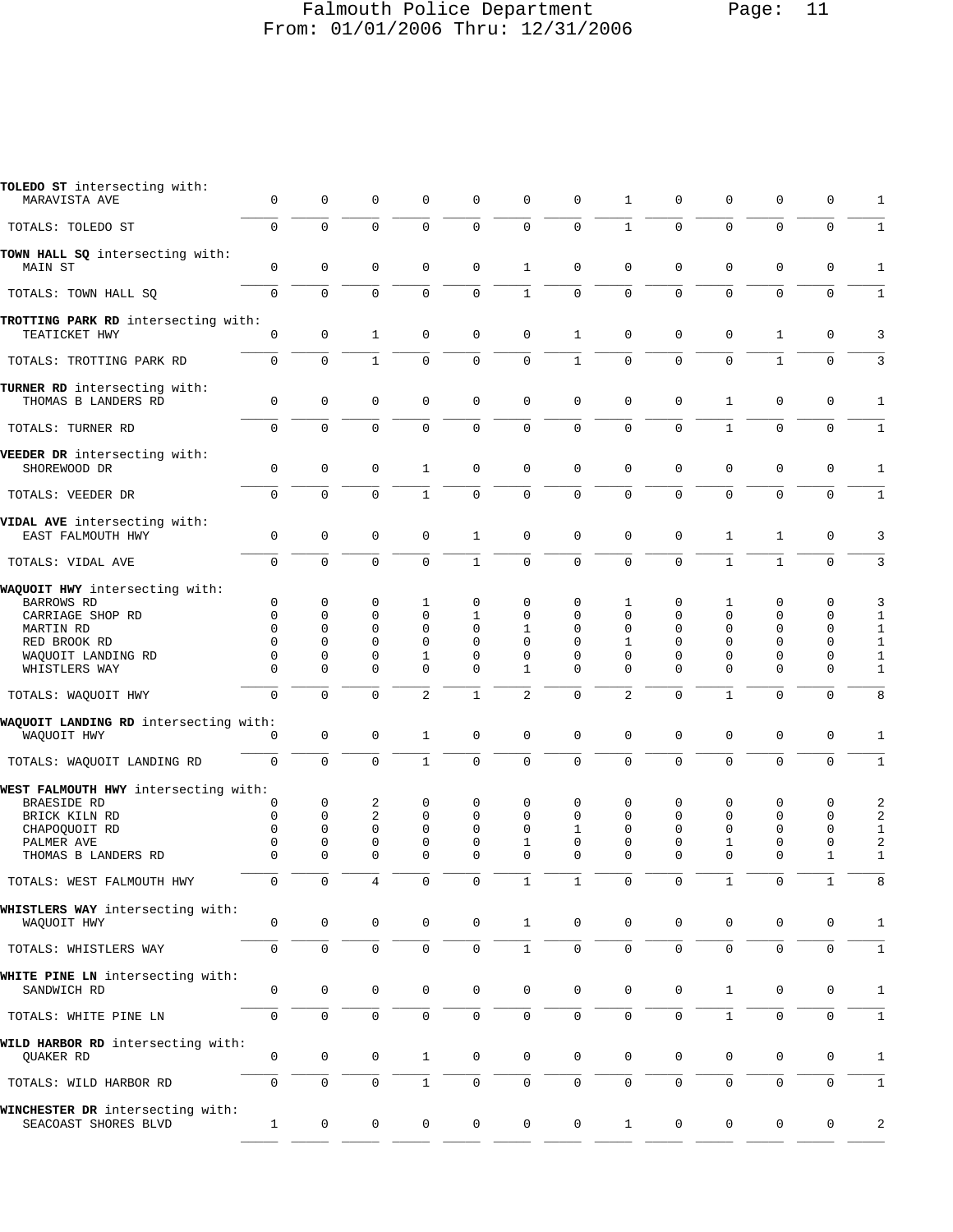## Falmouth Police Department Page: 11 From: 01/01/2006 Thru: 12/31/2006

| TOLEDO ST intersecting with:<br>MARAVISTA AVE                        | 0                              | 0                              | 0                              | 0                                           | 0                              | 0                       | 0                                    | 1                          | 0                       | 0                                 | 0                                                      | 0                                    | 1                                                           |
|----------------------------------------------------------------------|--------------------------------|--------------------------------|--------------------------------|---------------------------------------------|--------------------------------|-------------------------|--------------------------------------|----------------------------|-------------------------|-----------------------------------|--------------------------------------------------------|--------------------------------------|-------------------------------------------------------------|
| TOTALS: TOLEDO ST                                                    | 0                              | 0                              | $\mathbf 0$                    | $\mathbf 0$                                 | 0                              | $\mathbf 0$             | $\mathbf 0$                          | $\mathbf{1}$               | $\Omega$                | $\mathbf 0$                       | $\mathbf 0$                                            | $\mathbf 0$                          | 1                                                           |
| TOWN HALL SQ intersecting with:<br><b>MAIN ST</b>                    | 0                              | 0                              | 0                              | $\mathbf 0$                                 | 0                              | $\mathbf{1}$            | $\mathbf 0$                          | $\mathbf{0}$               | $\mathbf 0$             | $\mathbf 0$                       | $\mathbf{0}$                                           | $\mathbf 0$                          | 1                                                           |
| TOTALS: TOWN HALL SO                                                 | 0                              | $\mathbf 0$                    | $\overline{0}$                 | $\mathbf 0$                                 | $\mathbf 0$                    | $\mathbf{1}$            | $\mathbf 0$                          | $\mathbf 0$                | $\overline{0}$          | $\mathbf 0$                       | $\mathbf 0$                                            | $\mathbf 0$                          | $\mathbf 1$                                                 |
| TROTTING PARK RD intersecting with:<br>TEATICKET HWY                 | 0                              | $\mathsf 0$                    | $\mathbf{1}$                   | $\mathbf 0$                                 | 0                              | $\mathbf 0$             | $\mathbf{1}$                         | $\mathbf 0$                | 0                       | $\mathbf 0$                       | 1                                                      | $\mathbf 0$                          | 3                                                           |
| TOTALS: TROTTING PARK RD                                             | $\Omega$                       | $\Omega$                       | $\mathbf{1}$                   | $\Omega$                                    | $\Omega$                       | $\Omega$                | $\mathbf{1}$                         | $\Omega$                   | $\Omega$                | $\Omega$                          | $\mathbf{1}$                                           | $\Omega$                             | 3                                                           |
| TURNER RD intersecting with:<br>THOMAS B LANDERS RD                  | 0                              | $\mathsf 0$                    | $\mathsf 0$                    | $\mathbf 0$                                 | 0                              | $\mathbf 0$             | $\mathbf 0$                          | $\mathbf 0$                | 0                       | $\mathbf{1}$                      | 0                                                      | $\mathbf 0$                          | 1                                                           |
| TOTALS: TURNER RD                                                    | 0                              | 0                              | 0                              | 0                                           | 0                              | $\mathbf 0$             | $\mathsf 0$                          | $\mathbf 0$                | $\mathbf 0$             | $\mathbf{1}$                      | $\mathbf 0$                                            | $\mathbf 0$                          | $\mathbf 1$                                                 |
| VEEDER DR intersecting with:<br>SHOREWOOD DR                         | $\mathbf 0$                    | $\mathbf 0$                    | 0                              | $\mathbf{1}$                                | 0                              | $\mathbf 0$             | $\mathbf 0$                          | $\mathbf 0$                | $\mathbf 0$             | $\mathbf 0$                       | $\mathbf{0}$                                           | $\mathbf 0$                          | 1                                                           |
| TOTALS: VEEDER DR                                                    | 0                              | $\mathbf 0$                    | 0                              | $\mathbf{1}$                                | 0                              | $\mathbf 0$             | $\mathbf 0$                          | $\mathbf 0$                | 0                       | $\mathbf 0$                       | $\mathbf{0}$                                           | $\mathbf 0$                          | $\mathbf{1}$                                                |
| VIDAL AVE intersecting with:<br>EAST FALMOUTH HWY                    | $\mathbf 0$                    | $\mathbf 0$                    | $\mathbf 0$                    | $\mathbf 0$                                 | $\mathbf{1}$                   | $\mathbf 0$             | $\mathbf 0$                          | $\mathbf 0$                | $\mathbf 0$             | $\mathbf{1}$                      | 1                                                      | $\mathbf 0$                          | 3                                                           |
| TOTALS: VIDAL AVE                                                    | 0                              | $\mathbf 0$                    | 0                              | 0                                           | $\mathbf 1$                    | $\mathbf 0$             | $\overline{0}$                       | $\Omega$                   | $\Omega$                | $\mathbf{1}$                      | $\mathbf{1}$                                           | $\Omega$                             | 3                                                           |
| WAQUOIT HWY intersecting with:<br><b>BARROWS RD</b>                  | 0                              | 0                              | 0                              | 1                                           | 0                              | 0                       | 0                                    | 1                          | 0                       | 1                                 | $\mathbf 0$                                            | 0                                    | 3                                                           |
| CARRIAGE SHOP RD<br>MARTIN RD<br>RED BROOK RD<br>WAQUOIT LANDING RD  | 0<br>$\Omega$<br>$\Omega$<br>0 | 0<br>$\Omega$<br>$\Omega$<br>0 | 0<br>$\Omega$<br>$\Omega$<br>0 | $\mathbf 0$<br>$\Omega$<br>$\mathbf 0$<br>1 | 1<br>$\Omega$<br>$\Omega$<br>0 | 0<br>1<br>$\Omega$<br>0 | 0<br>$\mathbf 0$<br>0<br>$\mathbf 0$ | 0<br>$\mathbf 0$<br>1<br>0 | 0<br>0<br>$\Omega$<br>0 | 0<br>$\mathbf 0$<br>$\Omega$<br>0 | $\mathbf 0$<br>$\mathbf{0}$<br>$\Omega$<br>$\mathbf 0$ | 0<br>$\mathbf 0$<br>0<br>$\mathbf 0$ | $\mathbf 1$<br>$\mathbf{1}$<br>$\mathbf{1}$<br>$\mathbf{1}$ |
| WHISTLERS WAY                                                        | $\Omega$                       | $\Omega$                       | $\Omega$                       | $\Omega$                                    | 0                              | $\mathbf 1$             | $\mathbf 0$                          | $\Omega$                   | $\Omega$                | $\mathbf 0$                       | $\mathbf{0}$                                           | $\mathbf 0$                          | $\mathbf{1}$                                                |
| TOTALS: WAQUOIT HWY                                                  | $\Omega$                       | $\Omega$                       | 0                              | $\overline{a}$                              | $\mathbf 1$                    | $\overline{c}$          | $\mathbf{0}$                         | $\overline{2}$             | $\Omega$                | $\mathbf{1}$                      | $\Omega$                                               | $\mathbf 0$                          | 8                                                           |
| WAQUOIT LANDING RD intersecting with:<br>WAQUOIT HWY                 | 0                              | $\mathsf 0$                    | 0                              | 1                                           | 0                              | $\mathsf 0$             | $\mathsf 0$                          | $\mathbf{0}$               | 0                       | $\mathbf 0$                       | $\mathsf 0$                                            | $\mathbf 0$                          | 1                                                           |
| TOTALS: WAQUOIT LANDING RD                                           | $\Omega$                       | 0                              | 0                              | $\mathbf{1}$                                | 0                              | $\mathbf 0$             | $\mathbf 0$                          | $\Omega$                   | 0                       | $\mathbf 0$                       | $\mathbf 0$                                            | $\Omega$                             | $1\,$                                                       |
| WEST FALMOUTH HWY intersecting with:<br>BRAESIDE RD<br>BRICK KILN RD | 0<br>0                         | 0<br>0                         | 2<br>$\overline{c}$            | 0<br>$\mathbf 0$                            | 0<br>0                         | 0<br>$\mathbf 0$        | $\mathbf 0$<br>$\mathbf 0$           | 0<br>$\Omega$              | 0<br>0                  | 0<br>0                            | $\mathbf 0$<br>$\mathbf{0}$                            | 0<br>$\mathbf 0$                     | 2<br>$\overline{c}$                                         |
| CHAPOQUOIT RD<br>PALMER AVE                                          | $\Omega$<br>0                  | $\Omega$<br>0                  | 0<br>0                         | $\mathbf 0$<br>0                            | $\Omega$<br>0                  | $\Omega$<br>1           | $\mathbf{1}$<br>0                    | 0<br>0                     | $\mathbf 0$<br>0        | $\mathbf 0$<br>1                  | $\mathbf{0}$<br>0                                      | $\mathbf 0$<br>$\mathbf 0$           | $\mathbf{1}$<br>2                                           |
| THOMAS B LANDERS RD                                                  | $\Omega$                       | $\Omega$                       | $\Omega$                       | $\Omega$                                    | $\Omega$                       | $\Omega$                | $\Omega$                             | $\Omega$                   | $\Omega$                | $\Omega$                          | $\Omega$                                               | $\mathbf{1}$                         | $\mathbf{1}$                                                |
| TOTALS: WEST FALMOUTH HWY                                            | $\mathbf 0$                    | $\mathbf{0}$                   | 4                              | $\mathbf{0}$                                | $\mathbf{0}$                   | 1                       | $\mathbf{1}$                         | $\mathbf{0}$               | $\mathbf{0}$            | $\mathbf{1}$                      | $\circ$                                                | 1                                    | 8                                                           |
| WHISTLERS WAY intersecting with:<br>WAOUOIT HWY                      | 0                              | 0                              | 0                              | 0                                           | 0                              | $\mathbf{1}$            | $\mathbf 0$                          | $\mathbf 0$                | 0                       | 0                                 | 0                                                      | 0                                    | 1                                                           |
| TOTALS: WHISTLERS WAY                                                | 0                              | $\mathbf 0$                    | 0                              | 0                                           | 0                              | $\mathbf{1}$            | $\mathbf 0$                          | $\mathbf{0}$               | 0                       | $\mathbf 0$                       | $\mathbf 0$                                            | $\mathbf 0$                          | $\mathbf{1}$                                                |
| WHITE PINE LN intersecting with:<br>SANDWICH RD                      | 0                              | 0                              | $\mathsf 0$                    | $\mathbf 0$                                 | $\mathsf 0$                    | $\mathsf{O}\xspace$     | $\mathbf 0$                          | 0                          | 0                       | $\mathbf{1}$                      | $\mathsf 0$                                            | 0                                    | 1                                                           |
| TOTALS: WHITE PINE LN                                                | 0                              | $\mathbf 0$                    | 0                              | 0                                           | 0                              | 0                       | $\mathsf 0$                          | $\mathsf{O}$               | 0                       | $\mathbf{1}$                      | $\mathsf{O}$                                           | 0                                    | $\mathbf{1}$                                                |
| WILD HARBOR RD intersecting with:<br>QUAKER RD                       | 0                              | 0                              | 0                              | $\mathbf{1}$                                | 0                              | $\mathbf 0$             | $\mathbf 0$                          | 0                          | 0                       | 0                                 | 0                                                      | 0                                    | 1                                                           |
| TOTALS: WILD HARBOR RD                                               | 0                              | 0                              | 0                              | $\mathbf{1}$                                | 0                              | $\mathbf 0$             | 0                                    | 0                          | 0                       | 0                                 | 0                                                      | 0                                    | 1                                                           |
| WINCHESTER DR intersecting with:<br>SEACOAST SHORES BLVD             | $\mathbf{1}$                   | $\mathbf 0$                    | 0                              | 0                                           | 0                              | $\mathbf 0$             | $\mathsf 0$                          | $\mathbf{1}$               | 0                       | 0                                 | 0                                                      | 0                                    | 2                                                           |
|                                                                      |                                |                                |                                |                                             |                                |                         |                                      |                            |                         |                                   |                                                        |                                      |                                                             |